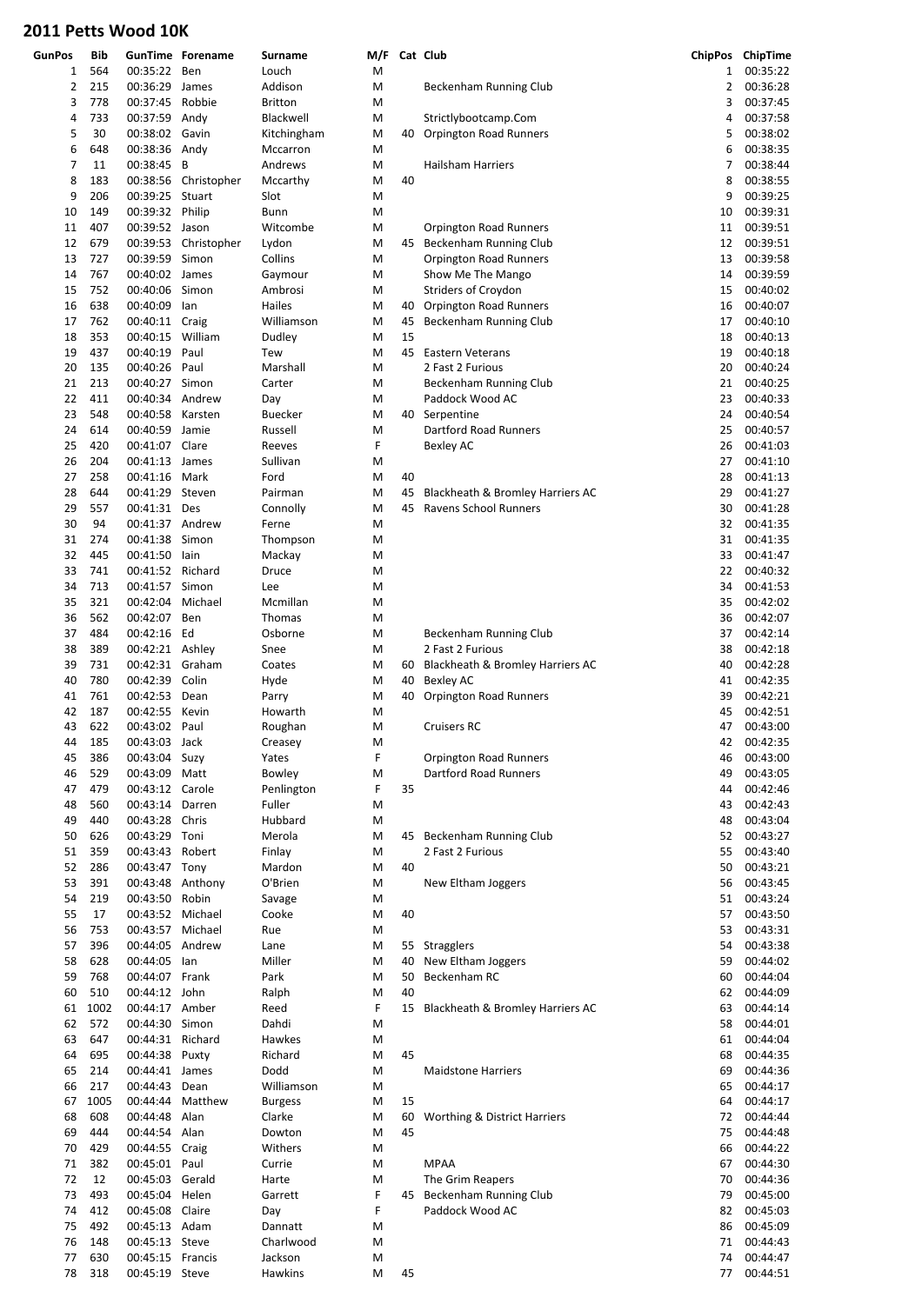| <b>GunPos</b> | Bib  |                  | <b>GunTime Forename</b> | <b>Surname</b> | M/F |    | Cat Club                                |              | ChipPos ChipTime |
|---------------|------|------------------|-------------------------|----------------|-----|----|-----------------------------------------|--------------|------------------|
| 1             | 564  | 00:35:22 Ben     |                         | Louch          | M   |    |                                         | $\mathbf{1}$ | 00:35:22         |
| 2             | 215  | 00:36:29 James   |                         | Addison        | M   |    | Beckenham Running Club                  | 2            | 00:36:28         |
| 3             | 778  | 00:37:45         | Robbie                  | <b>Britton</b> | M   |    |                                         | 3            | 00:37:45         |
| 4             | 733  | 00:37:59 Andy    |                         | Blackwell      | M   |    | Strictlybootcamp.Com                    | 4            | 00:37:58         |
| 5             | 30   | 00:38:02 Gavin   |                         | Kitchingham    | M   | 40 | <b>Orpington Road Runners</b>           | 5            | 00:38:02         |
| 6             | 648  | 00:38:36 Andy    |                         | Mccarron       | M   |    |                                         | 6            | 00:38:35         |
| 7             | 11   | 00:38:45 B       |                         | Andrews        | M   |    | Hailsham Harriers                       | 7            | 00:38:44         |
| 8             | 183  |                  | 00:38:56 Christopher    | Mccarthy       | M   | 40 |                                         | 8            | 00:38:55         |
| 9             | 206  | 00:39:25         | Stuart                  | Slot           | M   |    |                                         | 9            | 00:39:25         |
| 10            | 149  | 00:39:32 Philip  |                         | Bunn           | M   |    |                                         | 10           | 00:39:31         |
| 11            | 407  | 00:39:52 Jason   |                         | Witcombe       | M   |    | Orpington Road Runners                  | 11           | 00:39:51         |
| 12            | 679  | 00:39:53         | Christopher             | Lydon          | M   | 45 | Beckenham Running Club                  | 12           | 00:39:51         |
| 13            | 727  | 00:39:59         | Simon                   | Collins        | M   |    | <b>Orpington Road Runners</b>           | 13           | 00:39:58         |
| 14            | 767  | 00:40:02         | James                   | Gaymour        | M   |    | Show Me The Mango                       | 14           | 00:39:59         |
| 15            | 752  | 00:40:06         | Simon                   | Ambrosi        | M   |    | Striders of Croydon                     | 15           | 00:40:02         |
| 16            | 638  | 00:40:09         | lan                     | Hailes         | M   | 40 | <b>Orpington Road Runners</b>           | 16           | 00:40:07         |
| 17            | 762  | 00:40:11 Craig   |                         | Williamson     | M   | 45 | Beckenham Running Club                  | 17           | 00:40:10         |
| 18            | 353  | 00:40:15 William |                         | Dudley         | M   | 15 |                                         | 18           | 00:40:13         |
| 19            | 437  | 00:40:19         | Paul                    | Tew            | M   | 45 | <b>Eastern Veterans</b>                 | 19           | 00:40:18         |
| 20            | 135  | 00:40:26         | Paul                    | Marshall       | M   |    | 2 Fast 2 Furious                        | 20           | 00:40:24         |
| 21            | 213  | 00:40:27         | Simon                   | Carter         | M   |    | Beckenham Running Club                  | 21           | 00:40:25         |
| 22            | 411  | 00:40:34 Andrew  |                         | Day            | M   |    | Paddock Wood AC                         | 23           | 00:40:33         |
| 23            | 548  | 00:40:58         | Karsten                 | <b>Buecker</b> | M   |    | 40 Serpentine                           | 24           | 00:40:54         |
| 24            | 614  | 00:40:59         | Jamie                   | Russell        | M   |    | Dartford Road Runners                   | 25           | 00:40:57         |
| 25            | 420  | 00:41:07 Clare   |                         | Reeves         | F   |    | Bexley AC                               | 26           | 00:41:03         |
| 26            | 204  | 00:41:13 James   |                         | Sullivan       | M   |    |                                         | 27           | 00:41:10         |
| 27            | 258  | 00:41:16         | Mark                    | Ford           | M   | 40 |                                         | 28           | 00:41:13         |
| 28            | 644  | 00:41:29         | Steven                  | Pairman        | M   | 45 | Blackheath & Bromley Harriers AC        | 29           | 00:41:27         |
| 29            | 557  | 00:41:31 Des     |                         | Connolly       | M   | 45 | Ravens School Runners                   | 30           | 00:41:28         |
| 30            | 94   | 00:41:37 Andrew  |                         | Ferne          | M   |    |                                         | 32           | 00:41:35         |
| 31            | 274  | 00:41:38         | Simon                   | Thompson       | M   |    |                                         | 31           | 00:41:35         |
| 32            | 445  | 00:41:50         | lain                    | Mackay         | M   |    |                                         | 33           | 00:41:47         |
| 33            | 741  | 00:41:52         | Richard                 | Druce          | M   |    |                                         | 22           | 00:40:32         |
| 34            | 713  | 00:41:57         | Simon                   | Lee            | M   |    |                                         | 34           | 00:41:53         |
| 35            | 321  | 00:42:04         | Michael                 | Mcmillan       | M   |    |                                         | 35           | 00:42:02         |
| 36            | 562  | 00:42:07         | Ben                     | Thomas         | M   |    |                                         | 36           | 00:42:07         |
| 37            | 484  | 00:42:16 Ed      |                         | Osborne        | M   |    | Beckenham Running Club                  | 37           | 00:42:14         |
| 38            | 389  | 00:42:21 Ashley  |                         | Snee           | M   |    | 2 Fast 2 Furious                        | 38           | 00:42:18         |
| 39            | 731  | 00:42:31 Graham  |                         | Coates         | M   | 60 | Blackheath & Bromley Harriers AC        | 40           | 00:42:28         |
| 40            | 780  | 00:42:39 Colin   |                         | Hyde           | M   | 40 | <b>Bexley AC</b>                        | 41           | 00:42:35         |
| 41            | 761  | 00:42:53         | Dean                    | Parry          | M   | 40 | <b>Orpington Road Runners</b>           | 39           | 00:42:21         |
| 42            | 187  | 00:42:55         | Kevin                   | Howarth        | M   |    |                                         | 45           | 00:42:51         |
| 43            | 622  | 00:43:02 Paul    |                         | Roughan        | M   |    | <b>Cruisers RC</b>                      | 47           | 00:43:00         |
| 44            | 185  | 00:43:03 Jack    |                         | Creasey        | М   |    |                                         |              | 42 00:42:35      |
| 45            | 386  | 00:43:04 Suzy    |                         | Yates          | F   |    | Orpington Road Runners                  | 46           | 00:43:00         |
| 46            | 529  | 00:43:09 Matt    |                         | Bowley         | M   |    | Dartford Road Runners                   | 49           | 00:43:05         |
| 47            | 479  | 00:43:12 Carole  |                         | Penlington     | F   | 35 |                                         | 44           | 00:42:46         |
| 48            | 560  | 00:43:14 Darren  |                         | Fuller         | М   |    |                                         | 43           | 00:42:43         |
| 49            | 440  | 00:43:28 Chris   |                         | Hubbard        | M   |    |                                         | 48           | 00:43:04         |
| 50            | 626  | 00:43:29 Toni    |                         | Merola         | M   | 45 | Beckenham Running Club                  | 52           | 00:43:27         |
| 51            | 359  | 00:43:43 Robert  |                         | Finlay         | М   |    | 2 Fast 2 Furious                        | 55           | 00:43:40         |
| 52            | 286  | 00:43:47 Tony    |                         | Mardon         | M   | 40 |                                         | 50           | 00:43:21         |
| 53            | 391  | 00:43:48 Anthony |                         | O'Brien        | M   |    | New Eltham Joggers                      | 56           | 00:43:45         |
| 54            | 219  | 00:43:50 Robin   |                         | Savage         | M   |    |                                         | 51           | 00:43:24         |
| 55            | 17   | 00:43:52 Michael |                         | Cooke          | M   | 40 |                                         | 57           | 00:43:50         |
| 56            | 753  | 00:43:57 Michael |                         | Rue            | M   |    |                                         | 53           | 00:43:31         |
| 57            | 396  | 00:44:05 Andrew  |                         | Lane           | M   |    | 55 Stragglers                           | 54           | 00:43:38         |
| 58            | 628  | 00:44:05         | lan                     | Miller         | M   | 40 | New Eltham Joggers                      | 59           | 00:44:02         |
| 59            | 768  | 00:44:07 Frank   |                         | Park           | M   | 50 | Beckenham RC                            | 60           | 00:44:04         |
| 60            | 510  | 00:44:12 John    |                         | Ralph          | M   | 40 |                                         | 62           | 00:44:09         |
| 61            | 1002 | 00:44:17 Amber   |                         | Reed           | F   |    | 15 Blackheath & Bromley Harriers AC     | 63           | 00:44:14         |
| 62            | 572  | 00:44:30 Simon   |                         | Dahdi          | M   |    |                                         | 58           | 00:44:01         |
| 63            | 647  | 00:44:31 Richard |                         | Hawkes         | M   |    |                                         | 61           | 00:44:04         |
| 64            | 695  | 00:44:38 Puxty   |                         | Richard        | M   | 45 |                                         | 68           | 00:44:35         |
| 65            | 214  | 00:44:41 James   |                         | Dodd           | M   |    | <b>Maidstone Harriers</b>               | 69           | 00:44:36         |
| 66            | 217  | 00:44:43 Dean    |                         | Williamson     | M   |    |                                         | 65           | 00:44:17         |
| 67            | 1005 | 00:44:44         | Matthew                 | <b>Burgess</b> | M   | 15 |                                         | 64           | 00:44:17         |
| 68            | 608  | 00:44:48 Alan    |                         | Clarke         | M   | 60 | <b>Worthing &amp; District Harriers</b> | 72           | 00:44:44         |
| 69            | 444  | 00:44:54 Alan    |                         | Dowton         | M   | 45 |                                         | 75           | 00:44:48         |
| 70            | 429  | 00:44:55 Craig   |                         | Withers        | М   |    |                                         | 66           | 00:44:22         |
| 71            | 382  | 00:45:01 Paul    |                         | Currie         | M   |    | <b>MPAA</b>                             | 67           | 00:44:30         |
| 72            | 12   | 00:45:03 Gerald  |                         | Harte          | M   |    | The Grim Reapers                        | 70           | 00:44:36         |
| 73            | 493  | 00:45:04 Helen   |                         | Garrett        | F   |    | 45 Beckenham Running Club               | 79           | 00:45:00         |
| 74            | 412  | 00:45:08 Claire  |                         | Day            | F   |    | Paddock Wood AC                         | 82           | 00:45:03         |
| 75            | 492  | 00:45:13 Adam    |                         | Dannatt        | M   |    |                                         | 86           | 00:45:09         |
| 76            | 148  | 00:45:13 Steve   |                         | Charlwood      | M   |    |                                         | 71           | 00:44:43         |
| 77            | 630  | 00:45:15 Francis |                         | Jackson        | M   |    |                                         | 74           | 00:44:47         |
| 78            | 318  | 00:45:19 Steve   |                         | Hawkins        | Μ   | 45 |                                         | 77           | 00:44:51         |

| 1  | 564     | 00:35:22 Ben     |                      | Louch          | M |    |                                         | 1  | 00:35:22    |
|----|---------|------------------|----------------------|----------------|---|----|-----------------------------------------|----|-------------|
| 2  | 215     | 00:36:29         | James                | Addison        | M |    | Beckenham Running Club                  | 2  | 00:36:28    |
|    | 778     | 00:37:45 Robbie  |                      | <b>Britton</b> |   |    |                                         | 3  | 00:37:45    |
| 3  |         |                  |                      |                | М |    |                                         |    |             |
| 4  | 733     | 00:37:59 Andy    |                      | Blackwell      | M |    | Strictlybootcamp.Com                    | 4  | 00:37:58    |
| 5  | 30      | 00:38:02 Gavin   |                      | Kitchingham    | M | 40 | Orpington Road Runners                  | 5  | 00:38:02    |
| 6  | 648     | 00:38:36 Andy    |                      | Mccarron       | M |    |                                         | 6  | 00:38:35    |
| 7  | 11      | 00:38:45 B       |                      | Andrews        | M |    | <b>Hailsham Harriers</b>                | 7  | 00:38:44    |
| 8  | 183     |                  | 00:38:56 Christopher | Mccarthy       | M | 40 |                                         | 8  | 00:38:55    |
|    |         |                  |                      |                |   |    |                                         |    |             |
| 9  | 206     | 00:39:25         | Stuart               | Slot           | M |    |                                         | 9  | 00:39:25    |
| 10 | 149     | 00:39:32 Philip  |                      | Bunn           | M |    |                                         | 10 | 00:39:31    |
| 11 | 407     | 00:39:52 Jason   |                      | Witcombe       | М |    | Orpington Road Runners                  | 11 | 00:39:51    |
| 12 | 679     |                  | 00:39:53 Christopher | Lydon          | M | 45 | Beckenham Running Club                  | 12 | 00:39:51    |
|    | 727     |                  |                      |                |   |    |                                         | 13 |             |
| 13 |         | 00:39:59 Simon   |                      | Collins        | M |    | Orpington Road Runners                  |    | 00:39:58    |
| 14 | 767     | 00:40:02 James   |                      | Gaymour        | М |    | Show Me The Mango                       | 14 | 00:39:59    |
| 15 | 752     | 00:40:06 Simon   |                      | Ambrosi        | M |    | Striders of Croydon                     | 15 | 00:40:02    |
| 16 | 638     | 00:40:09         | lan                  | Hailes         | M | 40 | <b>Orpington Road Runners</b>           | 16 | 00:40:07    |
| 17 | 762     | 00:40:11 Craig   |                      | Williamson     | M | 45 | Beckenham Running Club                  | 17 | 00:40:10    |
|    |         |                  |                      |                |   |    |                                         |    |             |
| 18 | 353     | 00:40:15 William |                      | Dudley         | M | 15 |                                         | 18 | 00:40:13    |
| 19 | 437     | 00:40:19         | Paul                 | Tew            | M | 45 | Eastern Veterans                        | 19 | 00:40:18    |
| 20 | 135     | 00:40:26         | Paul                 | Marshall       | M |    | 2 Fast 2 Furious                        | 20 | 00:40:24    |
| 21 | 213     | 00:40:27 Simon   |                      | Carter         | М |    | Beckenham Running Club                  | 21 | 00:40:25    |
|    | 411     | 00:40:34 Andrew  |                      |                |   |    | Paddock Wood AC                         | 23 |             |
| 22 |         |                  |                      | Day            | М |    |                                         |    | 00:40:33    |
| 23 | 548     | 00:40:58         | Karsten              | Buecker        | M |    | 40 Serpentine                           | 24 | 00:40:54    |
| 24 | 614     | 00:40:59         | Jamie                | Russell        | М |    | Dartford Road Runners                   | 25 | 00:40:57    |
| 25 | 420     | 00:41:07 Clare   |                      | Reeves         | F |    | <b>Bexley AC</b>                        | 26 | 00:41:03    |
| 26 | 204     | 00:41:13 James   |                      | Sullivan       | M |    |                                         | 27 | 00:41:10    |
|    |         |                  |                      |                |   |    |                                         |    |             |
| 27 | 258     | 00:41:16 Mark    |                      | Ford           | M | 40 |                                         | 28 | 00:41:13    |
| 28 | 644     | 00:41:29         | Steven               | Pairman        | M | 45 | Blackheath & Bromley Harriers AC        | 29 | 00:41:27    |
| 29 | 557     | 00:41:31 Des     |                      | Connolly       | M | 45 | Ravens School Runners                   | 30 | 00:41:28    |
| 30 | 94      | 00:41:37 Andrew  |                      | Ferne          | M |    |                                         | 32 | 00:41:35    |
|    | 274     | 00:41:38         | Simon                |                |   |    |                                         | 31 | 00:41:35    |
| 31 |         |                  |                      | Thompson       | M |    |                                         |    |             |
| 32 | 445     | 00:41:50         | lain                 | Mackay         | M |    |                                         | 33 | 00:41:47    |
| 33 | 741     | 00:41:52 Richard |                      | Druce          | M |    |                                         | 22 | 00:40:32    |
| 34 | 713     | 00:41:57 Simon   |                      | Lee            | М |    |                                         | 34 | 00:41:53    |
| 35 | 321     | 00:42:04         | Michael              | Mcmillan       | M |    |                                         | 35 | 00:42:02    |
|    |         |                  |                      |                |   |    |                                         |    |             |
| 36 | 562     | 00:42:07 Ben     |                      | Thomas         | M |    |                                         | 36 | 00:42:07    |
| 37 | 484     | 00:42:16 Ed      |                      | Osborne        | М |    | Beckenham Running Club                  | 37 | 00:42:14    |
| 38 | 389     | 00:42:21 Ashley  |                      | Snee           | M |    | 2 Fast 2 Furious                        | 38 | 00:42:18    |
| 39 | 731     | 00:42:31 Graham  |                      | Coates         | М | 60 | Blackheath & Bromley Harriers AC        | 40 | 00:42:28    |
| 40 | 780     | 00:42:39 Colin   |                      | Hyde           | M | 40 | <b>Bexley AC</b>                        | 41 | 00:42:35    |
|    |         |                  |                      |                |   |    |                                         |    |             |
| 41 | 761     | 00:42:53         | Dean                 | Parry          | M | 40 | Orpington Road Runners                  | 39 | 00:42:21    |
| 42 | 187     | 00:42:55 Kevin   |                      | Howarth        | М |    |                                         | 45 | 00:42:51    |
| 43 | 622     | 00:43:02 Paul    |                      | Roughan        | M |    | <b>Cruisers RC</b>                      | 47 | 00:43:00    |
| 44 | 185     | 00:43:03 Jack    |                      | Creasey        | М |    |                                         | 42 | 00:42:35    |
| 45 | 386     | 00:43:04 Suzy    |                      | Yates          |   |    | <b>Orpington Road Runners</b>           |    | 46 00:43:00 |
|    |         |                  |                      |                |   |    |                                         |    |             |
| 46 | 529     | 00:43:09 Matt    |                      | Bowley         | M |    | Dartford Road Runners                   | 49 | 00:43:05    |
| 47 | 479     | 00:43:12 Carole  |                      | Penlington     | F | 35 |                                         | 44 | 00:42:46    |
| 48 | 560     | 00:43:14 Darren  |                      | Fuller         | M |    |                                         | 43 | 00:42:43    |
| 49 | 440     | 00:43:28 Chris   |                      | Hubbard        | M |    |                                         | 48 | 00:43:04    |
| 50 | 626     | 00:43:29 Toni    |                      | Merola         | M |    | 45 Beckenham Running Club               | 52 | 00:43:27    |
|    |         |                  |                      |                |   |    |                                         |    |             |
| 51 | 359     | 00:43:43 Robert  |                      | Finlay         | M |    | 2 Fast 2 Furious                        | 55 | 00:43:40    |
| 52 | 286     | 00:43:47 Tony    |                      | Mardon         | M | 40 |                                         | 50 | 00:43:21    |
| 53 | 391     | 00:43:48 Anthony |                      | O'Brien        | M |    | New Eltham Joggers                      | 56 | 00:43:45    |
| 54 | 219     | 00:43:50 Robin   |                      | Savage         | M |    |                                         | 51 | 00:43:24    |
| 55 | 17      | 00:43:52 Michael |                      | Cooke          | M | 40 |                                         | 57 | 00:43:50    |
|    |         |                  |                      |                |   |    |                                         |    |             |
| 56 | 753     | 00:43:57 Michael |                      | Rue            | M |    |                                         | 53 | 00:43:31    |
| 57 | 396     | 00:44:05 Andrew  |                      | Lane           | M | 55 | <b>Stragglers</b>                       | 54 | 00:43:38    |
| 58 | 628     | 00:44:05 lan     |                      | Miller         | M | 40 | New Eltham Joggers                      | 59 | 00:44:02    |
| 59 | 768     | 00:44:07 Frank   |                      | Park           | M | 50 | Beckenham RC                            | 60 | 00:44:04    |
| 60 | 510     | 00:44:12 John    |                      | Ralph          | M | 40 |                                         | 62 | 00:44:09    |
|    |         |                  |                      |                |   |    |                                         |    |             |
|    | 61 1002 | 00:44:17 Amber   |                      | Reed           | F | 15 | Blackheath & Bromley Harriers AC        | 63 | 00:44:14    |
| 62 | 572     | 00:44:30 Simon   |                      | Dahdi          | M |    |                                         | 58 | 00:44:01    |
| 63 | 647     | 00:44:31 Richard |                      | Hawkes         | M |    |                                         | 61 | 00:44:04    |
| 64 | 695     | 00:44:38 Puxty   |                      | Richard        | M | 45 |                                         | 68 | 00:44:35    |
| 65 | 214     | 00:44:41 James   |                      | Dodd           | M |    | <b>Maidstone Harriers</b>               | 69 | 00:44:36    |
|    |         |                  |                      |                |   |    |                                         |    |             |
| 66 | 217     | 00:44:43 Dean    |                      | Williamson     | M |    |                                         | 65 | 00:44:17    |
| 67 | 1005    | 00:44:44         | Matthew              | <b>Burgess</b> | M | 15 |                                         | 64 | 00:44:17    |
| 68 | 608     | 00:44:48 Alan    |                      | Clarke         | M | 60 | <b>Worthing &amp; District Harriers</b> | 72 | 00:44:44    |
| 69 | 444     | 00:44:54 Alan    |                      | Dowton         | M | 45 |                                         | 75 | 00:44:48    |
| 70 | 429     | 00:44:55 Craig   |                      | Withers        | M |    |                                         | 66 | 00:44:22    |
|    |         |                  |                      |                |   |    |                                         |    |             |
| 71 | 382     | 00:45:01 Paul    |                      | Currie         | M |    | <b>MPAA</b>                             | 67 | 00:44:30    |
| 72 | 12      | 00:45:03 Gerald  |                      | Harte          | M |    | The Grim Reapers                        | 70 | 00:44:36    |
| 73 | 493     | 00:45:04 Helen   |                      | Garrett        | F |    | 45 Beckenham Running Club               | 79 | 00:45:00    |
| 74 | 412     | 00:45:08         | Claire               | Day            | F |    | Paddock Wood AC                         | 82 | 00:45:03    |
| 75 | 492     | 00:45:13 Adam    |                      | Dannatt        | M |    |                                         | 86 | 00:45:09    |
|    |         |                  |                      |                |   |    |                                         |    |             |
| 76 | 148     | 00:45:13 Steve   |                      | Charlwood      | M |    |                                         | 71 | 00:44:43    |
| 77 | 630     | 00:45:15 Francis |                      | Jackson        | M |    |                                         | 74 | 00:44:47    |
| 78 | 318     | 00:45:19 Steve   |                      | Hawkins        | M | 45 |                                         | 77 | 00:44:51    |
|    |         |                  |                      |                |   |    |                                         |    |             |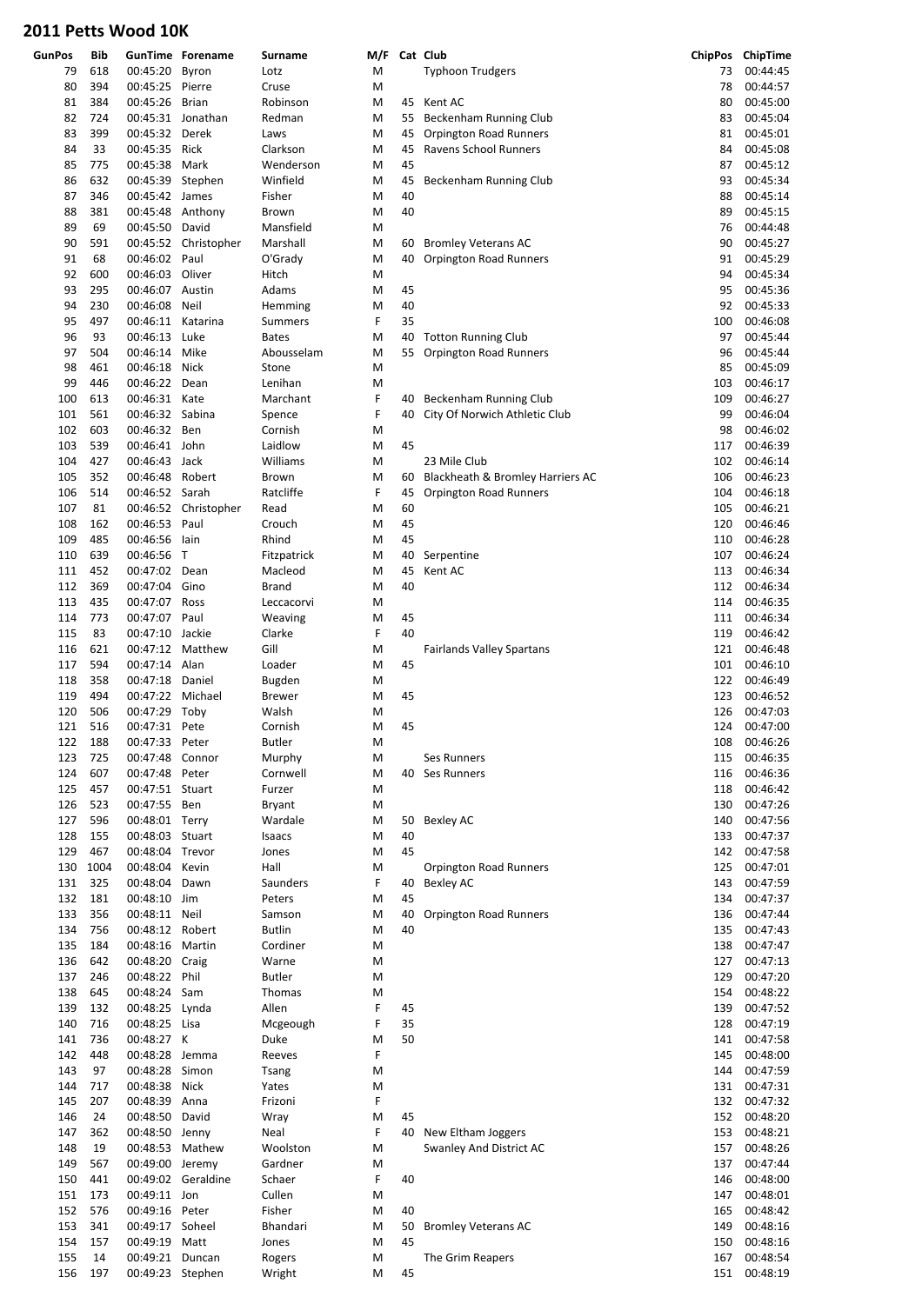| <b>GunPos</b> | Bib        |                             | <b>GunTime Forename</b> | Surname                | M/F    |          | Cat Club                         |            | ChipPos ChipTime     |
|---------------|------------|-----------------------------|-------------------------|------------------------|--------|----------|----------------------------------|------------|----------------------|
| 79            | 618        | 00:45:20                    | Byron                   | Lotz                   | M      |          | <b>Typhoon Trudgers</b>          | 73         | 00:44:45             |
| 80            | 394        | 00:45:25 Pierre             |                         | Cruse                  | M      |          |                                  | 78         | 00:44:57             |
| 81            | 384        | 00:45:26 Brian              |                         | Robinson               | M      |          | 45 Kent AC                       | 80         | 00:45:00             |
| 82            | 724        |                             | 00:45:31 Jonathan       | Redman                 | M      | 55       | Beckenham Running Club           | 83         | 00:45:04             |
| 83            | 399        | 00:45:32 Derek              |                         | Laws                   | M      | 45       | <b>Orpington Road Runners</b>    | 81         | 00:45:01             |
| 84            | 33         | 00:45:35 Rick               |                         | Clarkson               | M      | 45       | Ravens School Runners            | 84         | 00:45:08             |
| 85            | 775        | 00:45:38                    | Mark                    | Wenderson              | M      | 45       |                                  | 87         | 00:45:12             |
| 86            | 632        | 00:45:39 Stephen            |                         | Winfield               | M      | 45       | Beckenham Running Club           | 93         | 00:45:34             |
| 87            | 346        | 00:45:42 James              |                         | Fisher                 | M      | 40       |                                  | 88         | 00:45:14             |
| 88            | 381        | 00:45:48 Anthony            |                         | Brown                  | M      | 40       |                                  | 89         | 00:45:15             |
| 89            | 69         | 00:45:50 David              |                         | Mansfield              | M      |          |                                  | 76         | 00:44:48             |
| 90            | 591        |                             | 00:45:52 Christopher    | Marshall               | M      | 60       | <b>Bromley Veterans AC</b>       | 90         | 00:45:27             |
| 91            | 68         | 00:46:02 Paul               |                         | O'Grady                | M      | 40       | Orpington Road Runners           | 91         | 00:45:29             |
| 92            | 600        | 00:46:03 Oliver             |                         | Hitch                  | M      |          |                                  | 94         | 00:45:34             |
| 93            | 295        | 00:46:07 Austin             |                         | Adams                  | M      | 45       |                                  | 95         | 00:45:36             |
| 94            | 230        | 00:46:08                    | Neil                    | Hemming                | M      | 40       |                                  | 92         | 00:45:33             |
| 95            | 497        | 00:46:11 Katarina           |                         | Summers                | F      | 35       |                                  | 100        | 00:46:08             |
| 96            | 93         | 00:46:13                    | Luke                    | <b>Bates</b>           | M      | 40       | <b>Totton Running Club</b>       | 97         | 00:45:44             |
| 97            | 504        | 00:46:14                    | Mike                    | Abousselam             | M      | 55       | <b>Orpington Road Runners</b>    | 96         | 00:45:44             |
| 98            | 461        | 00:46:18 Nick               |                         | Stone                  | M      |          |                                  | 85         | 00:45:09             |
| 99            | 446        | 00:46:22                    | Dean                    | Lenihan                | M      |          |                                  | 103        | 00:46:17             |
| 100           | 613        | 00:46:31 Kate               |                         | Marchant               | F      | 40       | Beckenham Running Club           | 109        | 00:46:27             |
| 101           | 561        | 00:46:32 Sabina             |                         | Spence                 | F      | 40       | City Of Norwich Athletic Club    | 99         | 00:46:04             |
| 102           | 603        | 00:46:32 Ben                |                         | Cornish<br>Laidlow     | M      |          |                                  | 98         | 00:46:02             |
| 103           | 539        | 00:46:41 John               |                         |                        | M      | 45       |                                  | 117        | 00:46:39             |
| 104           | 427        | 00:46:43 Jack               |                         | Williams               | M      |          | 23 Mile Club                     | 102        | 00:46:14             |
| 105           | 352        | 00:46:48 Robert             |                         | <b>Brown</b>           | M      | 60       | Blackheath & Bromley Harriers AC | 106        | 00:46:23             |
| 106           | 514        | 00:46:52 Sarah              |                         | Ratcliffe              | F      | 45       | <b>Orpington Road Runners</b>    | 104        | 00:46:18             |
| 107           | 81         |                             | 00:46:52 Christopher    | Read                   | M      | 60       |                                  | 105        | 00:46:21             |
| 108           | 162        | 00:46:53 Paul               |                         | Crouch                 | M      | 45       |                                  | 120        | 00:46:46             |
| 109           | 485        | 00:46:56 lain               |                         | Rhind                  | M      | 45       |                                  | 110        | 00:46:28<br>00:46:24 |
| 110<br>111    | 639<br>452 | 00:46:56 T<br>00:47:02 Dean |                         | Fitzpatrick<br>Macleod | M      | 40<br>45 | Serpentine<br>Kent AC            | 107<br>113 | 00:46:34             |
| 112           | 369        | 00:47:04 Gino               |                         | <b>Brand</b>           | M      | 40       |                                  | 112        | 00:46:34             |
| 113           | 435        | 00:47:07 Ross               |                         | Leccacorvi             | M<br>M |          |                                  | 114        | 00:46:35             |
| 114           | 773        | 00:47:07 Paul               |                         |                        | M      | 45       |                                  | 111        | 00:46:34             |
| 115           | 83         | 00:47:10 Jackie             |                         | Weaving                | F      | 40       |                                  | 119        | 00:46:42             |
| 116           | 621        |                             | 00:47:12 Matthew        | Clarke<br>Gill         |        |          | <b>Fairlands Valley Spartans</b> | 121        | 00:46:48             |
| 117           | 594        | 00:47:14 Alan               |                         | Loader                 | M<br>M | 45       |                                  | 101        | 00:46:10             |
| 118           | 358        | 00:47:18 Daniel             |                         | Bugden                 | M      |          |                                  | 122        | 00:46:49             |
| 119           | 494        | 00:47:22                    | Michael                 | <b>Brewer</b>          | M      | 45       |                                  | 123        | 00:46:52             |
| 120           | 506        | 00:47:29 Toby               |                         | Walsh                  | M      |          |                                  | 126        | 00:47:03             |
| 121           | 516        | 00:47:31 Pete               |                         | Cornish                | M      | 45       |                                  | 124        | 00:47:00             |
| 122           | 188        | 00:47:33 Peter              |                         | Butler                 | M      |          |                                  |            | 108 00:46:26         |
| 123           | 725        | 00:47:48 Connor             |                         | Murphy                 | M      |          | Ses Runners                      | 115        | 00:46:35             |
| 124           | 607        | 00:47:48 Peter              |                         | Cornwell               | M      |          | 40 Ses Runners                   | 116        | 00:46:36             |
| 125           | 457        | 00:47:51 Stuart             |                         | Furzer                 | M      |          |                                  | 118        | 00:46:42             |
| 126           | 523        | 00:47:55 Ben                |                         | Bryant                 | M      |          |                                  | 130        | 00:47:26             |
| 127           | 596        | 00:48:01 Terry              |                         | Wardale                | M      | 50       | <b>Bexley AC</b>                 | 140        | 00:47:56             |
| 128           | 155        | 00:48:03 Stuart             |                         | Isaacs                 | M      | 40       |                                  | 133        | 00:47:37             |
| 129           | 467        | 00:48:04 Trevor             |                         | Jones                  | M      | 45       |                                  | 142        | 00:47:58             |
| 130           | 1004       | 00:48:04 Kevin              |                         | Hall                   | M      |          | Orpington Road Runners           | 125        | 00:47:01             |
| 131           | 325        | 00:48:04 Dawn               |                         | Saunders               | F      | 40       | <b>Bexley AC</b>                 | 143        | 00:47:59             |
| 132           | 181        | 00:48:10 Jim                |                         | Peters                 | M      | 45       |                                  | 134        | 00:47:37             |
| 133           | 356        | 00:48:11 Neil               |                         | Samson                 | M      | 40       | Orpington Road Runners           | 136        | 00:47:44             |
| 134           | 756        | 00:48:12 Robert             |                         | <b>Butlin</b>          | M      | 40       |                                  | 135        | 00:47:43             |
| 135           | 184        | 00:48:16 Martin             |                         | Cordiner               | M      |          |                                  | 138        | 00:47:47             |
| 136           | 642        | 00:48:20 Craig              |                         | Warne                  | M      |          |                                  | 127        | 00:47:13             |
| 137           | 246        | 00:48:22 Phil               |                         | <b>Butler</b>          | M      |          |                                  | 129        | 00:47:20             |
| 138           | 645        | 00:48:24 Sam                |                         | Thomas                 | M      |          |                                  | 154        | 00:48:22             |
| 139           | 132        | 00:48:25 Lynda              |                         | Allen                  | F      | 45       |                                  | 139        | 00:47:52             |
| 140           | 716        | 00:48:25 Lisa               |                         | Mcgeough               | F      | 35       |                                  | 128        | 00:47:19             |
| 141           | 736        | 00:48:27 K                  |                         | Duke                   | M      | 50       |                                  | 141        | 00:47:58             |
| 142           | 448        | 00:48:28 Jemma              |                         | Reeves                 | F      |          |                                  | 145        | 00:48:00             |
| 143           | 97         | 00:48:28 Simon              |                         | Tsang                  | M      |          |                                  | 144        | 00:47:59             |
| 144           | 717        | 00:48:38                    | Nick                    | Yates                  | M      |          |                                  | 131        | 00:47:31             |
| 145           | 207        | 00:48:39 Anna               |                         | Frizoni                | F      |          |                                  | 132        | 00:47:32             |
| 146           | 24         | 00:48:50 David              |                         | Wray                   | M      | 45       |                                  | 152        | 00:48:20             |
| 147           | 362        | 00:48:50 Jenny              |                         | Neal                   | F      | 40       | New Eltham Joggers               | 153        | 00:48:21             |
| 148           | 19         | 00:48:53 Mathew             |                         | Woolston               | M      |          | Swanley And District AC          | 157        | 00:48:26             |
| 149           | 567        | 00:49:00 Jeremy             |                         | Gardner                | M      |          |                                  | 137        | 00:47:44             |
| 150           | 441        |                             | 00:49:02 Geraldine      | Schaer                 | F      | 40       |                                  | 146        | 00:48:00             |
| 151           | 173        | 00:49:11 Jon                |                         | Cullen                 | M      |          |                                  | 147        | 00:48:01             |
| 152           | 576        | 00:49:16 Peter              |                         | Fisher                 | M      | 40       |                                  | 165        | 00:48:42             |
| 153           | 341        | 00:49:17 Soheel             |                         | Bhandari               | M      | 50       | <b>Bromley Veterans AC</b>       | 149        | 00:48:16             |
| 154           | 157        | 00:49:19                    | Matt                    | Jones                  | M      | 45       |                                  | 150        | 00:48:16             |
| 155           | 14         | 00:49:21 Duncan             |                         | Rogers                 | M      |          | The Grim Reapers                 | 167        | 00:48:54             |
| 156           | 197        | 00:49:23 Stephen            |                         | Wright                 | M      | 45       |                                  |            | 151 00:48:19         |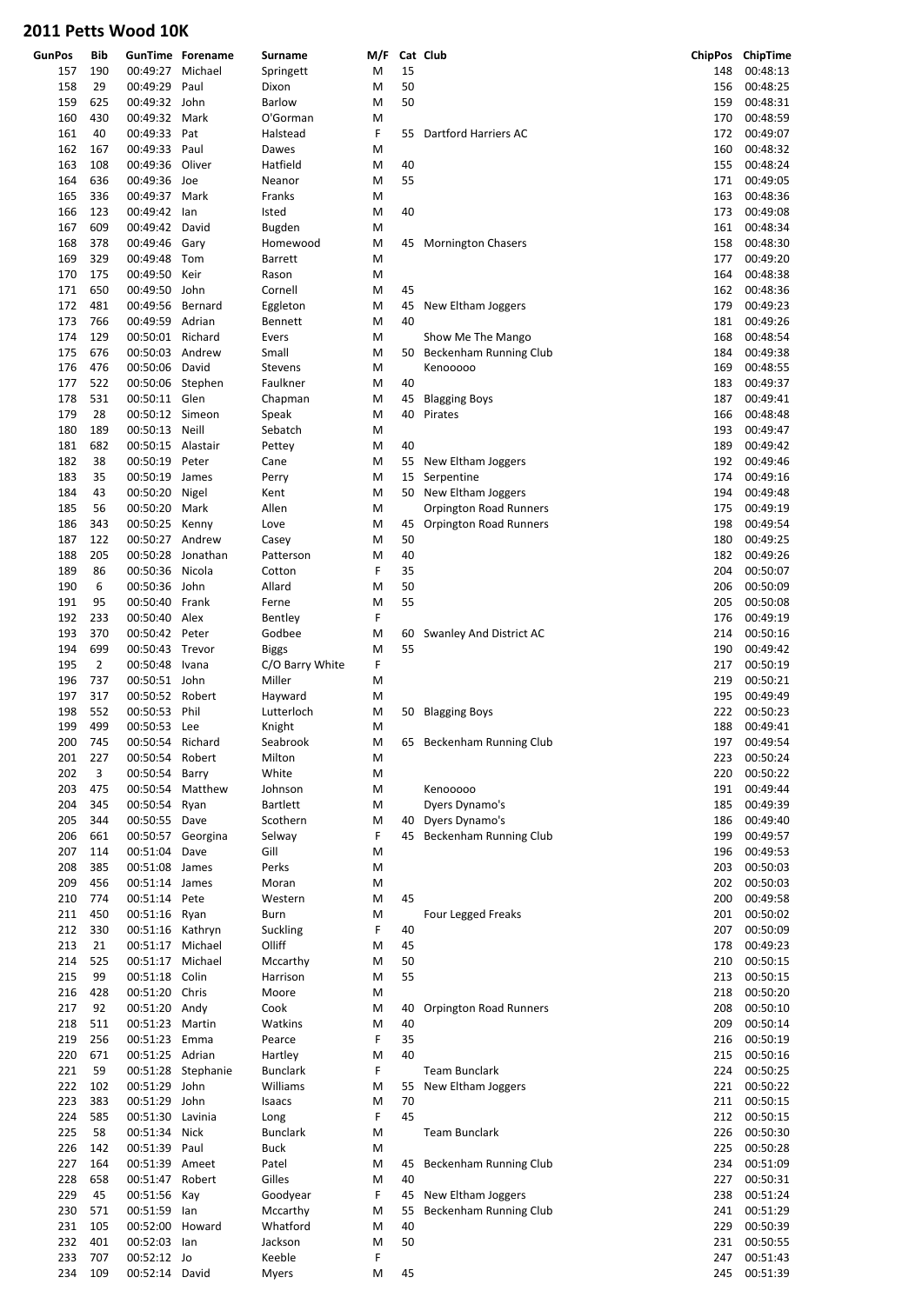| <b>GunPos</b> | Bib            |                   | <b>GunTime Forename</b> | Surname         | M/F |    | Cat Club                      |     | ChipPos ChipTime |
|---------------|----------------|-------------------|-------------------------|-----------------|-----|----|-------------------------------|-----|------------------|
| 157           | 190            | 00:49:27          | Michael                 | Springett       | M   | 15 |                               | 148 | 00:48:13         |
| 158           | 29             | 00:49:29          | Paul                    | Dixon           | M   | 50 |                               | 156 | 00:48:25         |
| 159           | 625            | 00:49:32 John     |                         | <b>Barlow</b>   | M   | 50 |                               | 159 | 00:48:31         |
| 160           | 430            | 00:49:32 Mark     |                         | O'Gorman        | M   |    |                               | 170 | 00:48:59         |
| 161           | 40             | 00:49:33 Pat      |                         | Halstead        | F   | 55 | Dartford Harriers AC          | 172 | 00:49:07         |
|               |                | 00:49:33 Paul     |                         |                 |     |    |                               |     |                  |
| 162           | 167            |                   |                         | Dawes           | M   |    |                               | 160 | 00:48:32         |
| 163           | 108            | 00:49:36          | Oliver                  | Hatfield        | M   | 40 |                               | 155 | 00:48:24         |
| 164           | 636            | 00:49:36 Joe      |                         | Neanor          | M   | 55 |                               | 171 | 00:49:05         |
| 165           | 336            | 00:49:37 Mark     |                         | Franks          | M   |    |                               | 163 | 00:48:36         |
| 166           | 123            | 00:49:42 lan      |                         | Isted           | M   | 40 |                               | 173 | 00:49:08         |
| 167           | 609            | 00:49:42          | David                   | Bugden          | M   |    |                               | 161 | 00:48:34         |
| 168           | 378            | 00:49:46 Gary     |                         | Homewood        | M   |    | 45 Mornington Chasers         | 158 | 00:48:30         |
| 169           | 329            | 00:49:48 Tom      |                         | <b>Barrett</b>  | M   |    |                               | 177 | 00:49:20         |
| 170           | 175            | 00:49:50          | Keir                    | Rason           | M   |    |                               | 164 | 00:48:38         |
| 171           | 650            | 00:49:50 John     |                         | Cornell         | M   | 45 |                               | 162 | 00:48:36         |
| 172           | 481            | 00:49:56          | Bernard                 | Eggleton        | M   | 45 | New Eltham Joggers            | 179 | 00:49:23         |
| 173           | 766            | 00:49:59 Adrian   |                         | Bennett         | M   | 40 |                               | 181 | 00:49:26         |
| 174           | 129            | 00:50:01 Richard  |                         | Evers           | M   |    |                               | 168 | 00:48:54         |
|               |                |                   |                         |                 |     |    | Show Me The Mango             |     |                  |
| 175           | 676            | 00:50:03 Andrew   |                         | Small           | M   | 50 | Beckenham Running Club        | 184 | 00:49:38         |
| 176           | 476            | 00:50:06          | David                   | <b>Stevens</b>  | M   |    | Kenooooo                      | 169 | 00:48:55         |
| 177           | 522            | 00:50:06 Stephen  |                         | Faulkner        | M   | 40 |                               | 183 | 00:49:37         |
| 178           | 531            | 00:50:11 Glen     |                         | Chapman         | M   | 45 | <b>Blagging Boys</b>          | 187 | 00:49:41         |
| 179           | 28             | 00:50:12 Simeon   |                         | Speak           | M   | 40 | Pirates                       | 166 | 00:48:48         |
| 180           | 189            | 00:50:13 Neill    |                         | Sebatch         | M   |    |                               | 193 | 00:49:47         |
| 181           | 682            | 00:50:15 Alastair |                         | Pettey          | M   | 40 |                               | 189 | 00:49:42         |
| 182           | 38             | 00:50:19 Peter    |                         | Cane            | M   | 55 | New Eltham Joggers            | 192 | 00:49:46         |
| 183           | 35             | 00:50:19 James    |                         | Perry           | M   | 15 | Serpentine                    | 174 | 00:49:16         |
| 184           | 43             | 00:50:20 Nigel    |                         | Kent            | M   |    | 50 New Eltham Joggers         | 194 | 00:49:48         |
| 185           | 56             | 00:50:20          | Mark                    | Allen           | M   |    | Orpington Road Runners        | 175 | 00:49:19         |
| 186           | 343            | 00:50:25 Kenny    |                         | Love            | M   | 45 | <b>Orpington Road Runners</b> | 198 | 00:49:54         |
|               | 122            | 00:50:27 Andrew   |                         |                 |     | 50 |                               | 180 |                  |
| 187           |                |                   |                         | Casey           | M   |    |                               |     | 00:49:25         |
| 188           | 205            |                   | 00:50:28 Jonathan       | Patterson       | M   | 40 |                               | 182 | 00:49:26         |
| 189           | 86             | 00:50:36          | Nicola                  | Cotton          | F   | 35 |                               | 204 | 00:50:07         |
| 190           | 6              | 00:50:36 John     |                         | Allard          | M   | 50 |                               | 206 | 00:50:09         |
| 191           | 95             | 00:50:40          | Frank                   | Ferne           | M   | 55 |                               | 205 | 00:50:08         |
| 192           | 233            | 00:50:40 Alex     |                         | Bentley         | F   |    |                               | 176 | 00:49:19         |
| 193           | 370            | 00:50:42 Peter    |                         | Godbee          | M   | 60 | Swanley And District AC       | 214 | 00:50:16         |
| 194           | 699            | 00:50:43 Trevor   |                         | <b>Biggs</b>    | M   | 55 |                               | 190 | 00:49:42         |
| 195           | $\overline{2}$ | 00:50:48 Ivana    |                         | C/O Barry White | F   |    |                               | 217 | 00:50:19         |
| 196           | 737            | 00:50:51 John     |                         | Miller          | M   |    |                               | 219 | 00:50:21         |
| 197           | 317            | 00:50:52 Robert   |                         | Hayward         | M   |    |                               | 195 | 00:49:49         |
| 198           | 552            | 00:50:53 Phil     |                         | Lutterloch      | M   |    | 50 Blagging Boys              | 222 | 00:50:23         |
| 199           | 499            | 00:50:53 Lee      |                         | Knight          | M   |    |                               | 188 | 00:49:41         |
| 200           | 745            |                   | Richard                 |                 |     |    |                               |     |                  |
|               |                | 00:50:54          |                         | Seabrook        | M   |    | 65 Beckenham Running Club     | 197 | 00:49:54         |
| 201           | 227            | 00:50:54 Robert   |                         | Milton          | M   |    |                               | 223 | 00:50:24         |
| 202           | 3              | 00:50:54          | Barry                   | White           | M   |    |                               | 220 | 00:50:22         |
| 203           | 475            | 00:50:54          | Matthew                 | Johnson         | M   |    | Kenooooo                      | 191 | 00:49:44         |
| 204           | 345            | 00:50:54          | Ryan                    | <b>Bartlett</b> | M   |    | Dyers Dynamo's                | 185 | 00:49:39         |
| 205           | 344            | 00:50:55 Dave     |                         | Scothern        | M   |    | 40 Dyers Dynamo's             | 186 | 00:49:40         |
| 206           | 661            |                   | 00:50:57 Georgina       | Selway          | F   |    | 45 Beckenham Running Club     | 199 | 00:49:57         |
| 207           | 114            | 00:51:04          | Dave                    | Gill            | M   |    |                               | 196 | 00:49:53         |
| 208           | 385            | 00:51:08 James    |                         | Perks           | M   |    |                               | 203 | 00:50:03         |
| 209           | 456            | 00:51:14 James    |                         | Moran           | M   |    |                               | 202 | 00:50:03         |
| 210           | 774            | 00:51:14          | Pete                    | Western         | M   | 45 |                               | 200 | 00:49:58         |
| 211           | 450            | 00:51:16 Ryan     |                         | Burn            | M   |    | <b>Four Legged Freaks</b>     | 201 | 00:50:02         |
| 212           | 330            | 00:51:16 Kathryn  |                         | Suckling        | F   | 40 |                               | 207 | 00:50:09         |
| 213           | 21             | 00:51:17 Michael  |                         | Olliff          | M   | 45 |                               | 178 | 00:49:23         |
|               |                |                   |                         |                 |     |    |                               |     |                  |
| 214           | 525            | 00:51:17 Michael  |                         | Mccarthy        | M   | 50 |                               | 210 | 00:50:15         |
| 215           | 99             | 00:51:18 Colin    |                         | Harrison        | M   | 55 |                               | 213 | 00:50:15         |
| 216           | 428            | 00:51:20 Chris    |                         | Moore           | M   |    |                               | 218 | 00:50:20         |
| 217           | 92             | 00:51:20 Andy     |                         | Cook            | M   | 40 | Orpington Road Runners        | 208 | 00:50:10         |
| 218           | 511            | 00:51:23 Martin   |                         | Watkins         | M   | 40 |                               | 209 | 00:50:14         |
| 219           | 256            | 00:51:23 Emma     |                         | Pearce          | F   | 35 |                               | 216 | 00:50:19         |
| 220           | 671            | 00:51:25 Adrian   |                         | Hartley         | M   | 40 |                               | 215 | 00:50:16         |
| 221           | 59             |                   | 00:51:28 Stephanie      | <b>Bunclark</b> | F   |    | <b>Team Bunclark</b>          | 224 | 00:50:25         |
| 222           | 102            | 00:51:29 John     |                         | Williams        | M   | 55 | New Eltham Joggers            | 221 | 00:50:22         |
| 223           | 383            | 00:51:29 John     |                         | Isaacs          | M   | 70 |                               | 211 | 00:50:15         |
| 224           | 585            | 00:51:30 Lavinia  |                         | Long            | F   | 45 |                               | 212 | 00:50:15         |
| 225           | 58             | 00:51:34          | Nick                    | <b>Bunclark</b> | M   |    | <b>Team Bunclark</b>          | 226 | 00:50:30         |
| 226           | 142            | 00:51:39 Paul     |                         | <b>Buck</b>     | M   |    |                               | 225 | 00:50:28         |
| 227           | 164            | 00:51:39 Ameet    |                         | Patel           | M   |    | Beckenham Running Club        | 234 | 00:51:09         |
|               |                |                   |                         |                 |     | 45 |                               |     |                  |
| 228           | 658            | 00:51:47 Robert   |                         | Gilles          | M   | 40 |                               | 227 | 00:50:31         |
| 229           | 45             | 00:51:56          | Kay                     | Goodyear        | F   | 45 | New Eltham Joggers            | 238 | 00:51:24         |
| 230           | 571            | 00:51:59          | lan                     | Mccarthy        | M   | 55 | Beckenham Running Club        | 241 | 00:51:29         |
| 231           | 105            | 00:52:00 Howard   |                         | Whatford        | M   | 40 |                               | 229 | 00:50:39         |
| 232           | 401            | 00:52:03          | lan                     | Jackson         | M   | 50 |                               | 231 | 00:50:55         |
| 233           | 707            | 00:52:12 Jo       |                         | Keeble          | F   |    |                               | 247 | 00:51:43         |
| 234           | 109            | 00:52:14 David    |                         | <b>Myers</b>    | M   | 45 |                               | 245 | 00:51:39         |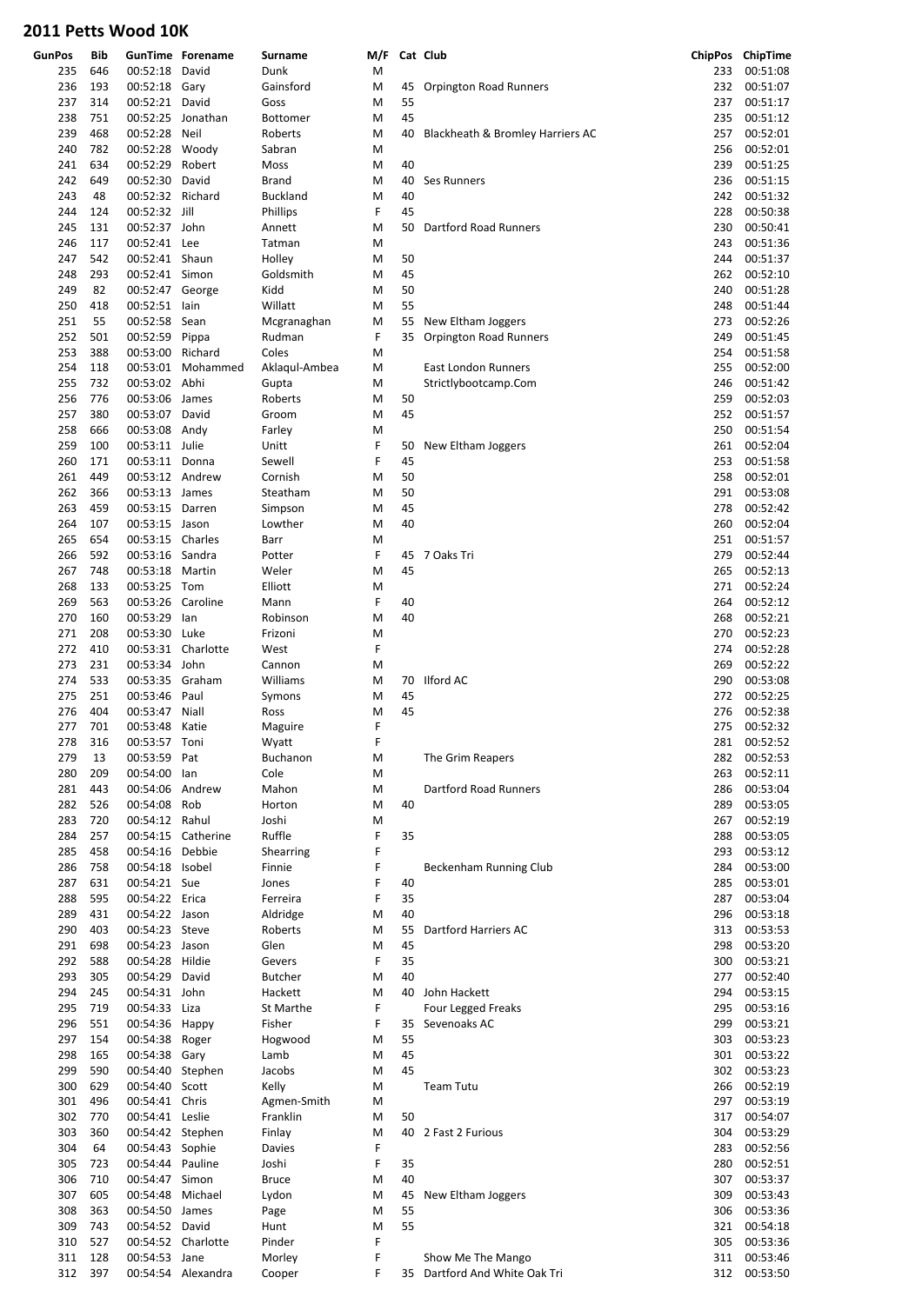| <b>GunPos</b> | Bib |                  | <b>GunTime Forename</b> | <b>Surname</b>    | M/F |    | Cat Club                         |     | ChipPos ChipTime |
|---------------|-----|------------------|-------------------------|-------------------|-----|----|----------------------------------|-----|------------------|
| 235           | 646 | 00:52:18 David   |                         | Dunk              | M   |    |                                  | 233 | 00:51:08         |
| 236           | 193 | 00:52:18 Gary    |                         | Gainsford         | M   | 45 | <b>Orpington Road Runners</b>    | 232 | 00:51:07         |
| 237           | 314 | 00:52:21 David   |                         | Goss              | M   | 55 |                                  | 237 | 00:51:17         |
| 238           | 751 | 00:52:25         | Jonathan                | Bottomer          | M   | 45 |                                  | 235 | 00:51:12         |
|               | 468 |                  | Neil                    |                   |     |    |                                  | 257 | 00:52:01         |
| 239<br>240    | 782 | 00:52:28         |                         | Roberts<br>Sabran | M   | 40 | Blackheath & Bromley Harriers AC | 256 |                  |
|               |     | 00:52:28 Woody   |                         |                   | M   |    |                                  |     | 00:52:01         |
| 241           | 634 | 00:52:29         | Robert                  | Moss              | M   | 40 |                                  | 239 | 00:51:25         |
| 242           | 649 | 00:52:30 David   |                         | <b>Brand</b>      | M   | 40 | Ses Runners                      | 236 | 00:51:15         |
| 243           | 48  | 00:52:32 Richard |                         | <b>Buckland</b>   | M   | 40 |                                  | 242 | 00:51:32         |
| 244           | 124 | 00:52:32 Jill    |                         | Phillips          | F   | 45 |                                  | 228 | 00:50:38         |
| 245           | 131 | 00:52:37 John    |                         | Annett            | M   | 50 | Dartford Road Runners            | 230 | 00:50:41         |
| 246           | 117 | 00:52:41 Lee     |                         | Tatman            | M   |    |                                  | 243 | 00:51:36         |
| 247           | 542 | 00:52:41 Shaun   |                         | Holley            | M   | 50 |                                  | 244 | 00:51:37         |
| 248           | 293 | 00:52:41 Simon   |                         | Goldsmith         | M   | 45 |                                  | 262 | 00:52:10         |
| 249           | 82  | 00:52:47 George  |                         | Kidd              | M   | 50 |                                  | 240 | 00:51:28         |
| 250           | 418 | 00:52:51 lain    |                         | Willatt           | M   | 55 |                                  | 248 | 00:51:44         |
| 251           | 55  | 00:52:58         | Sean                    | Mcgranaghan       | M   | 55 | New Eltham Joggers               | 273 | 00:52:26         |
| 252           | 501 | 00:52:59 Pippa   |                         | Rudman            | F   | 35 | <b>Orpington Road Runners</b>    | 249 | 00:51:45         |
| 253           | 388 | 00:53:00 Richard |                         | Coles             | M   |    |                                  | 254 | 00:51:58         |
| 254           | 118 |                  | 00:53:01 Mohammed       | Aklaqul-Ambea     | M   |    | East London Runners              | 255 | 00:52:00         |
| 255           | 732 | 00:53:02 Abhi    |                         | Gupta             | M   |    | Strictlybootcamp.Com             | 246 | 00:51:42         |
| 256           | 776 | 00:53:06 James   |                         | Roberts           | M   | 50 |                                  | 259 | 00:52:03         |
| 257           | 380 | 00:53:07 David   |                         |                   |     | 45 |                                  | 252 | 00:51:57         |
|               |     |                  |                         | Groom             | M   |    |                                  |     |                  |
| 258           | 666 | 00:53:08 Andy    |                         | Farley            | M   |    |                                  | 250 | 00:51:54         |
| 259           | 100 | 00:53:11 Julie   |                         | Unitt             | F   | 50 | New Eltham Joggers               | 261 | 00:52:04         |
| 260           | 171 | 00:53:11 Donna   |                         | Sewell            | F   | 45 |                                  | 253 | 00:51:58         |
| 261           | 449 | 00:53:12 Andrew  |                         | Cornish           | M   | 50 |                                  | 258 | 00:52:01         |
| 262           | 366 | 00:53:13 James   |                         | Steatham          | M   | 50 |                                  | 291 | 00:53:08         |
| 263           | 459 | 00:53:15 Darren  |                         | Simpson           | M   | 45 |                                  | 278 | 00:52:42         |
| 264           | 107 | 00:53:15 Jason   |                         | Lowther           | M   | 40 |                                  | 260 | 00:52:04         |
| 265           | 654 | 00:53:15 Charles |                         | Barr              | M   |    |                                  | 251 | 00:51:57         |
| 266           | 592 | 00:53:16 Sandra  |                         | Potter            | F   |    | 45 7 Oaks Tri                    | 279 | 00:52:44         |
| 267           | 748 | 00:53:18 Martin  |                         | Weler             | M   | 45 |                                  | 265 | 00:52:13         |
| 268           | 133 | 00:53:25 Tom     |                         | Elliott           | M   |    |                                  | 271 | 00:52:24         |
| 269           | 563 | 00:53:26         | Caroline                | Mann              | F   | 40 |                                  | 264 | 00:52:12         |
| 270           | 160 |                  |                         | Robinson          | M   |    |                                  | 268 |                  |
|               |     | 00:53:29         | lan                     |                   |     | 40 |                                  |     | 00:52:21         |
| 271           | 208 | 00:53:30 Luke    |                         | Frizoni           | M   |    |                                  | 270 | 00:52:23         |
| 272           | 410 | 00:53:31         | Charlotte               | West              | F   |    |                                  | 274 | 00:52:28         |
| 273           | 231 | 00:53:34 John    |                         | Cannon            | M   |    |                                  | 269 | 00:52:22         |
| 274           | 533 | 00:53:35 Graham  |                         | Williams          | M   | 70 | Ilford AC                        | 290 | 00:53:08         |
| 275           | 251 | 00:53:46 Paul    |                         | Symons            | M   | 45 |                                  | 272 | 00:52:25         |
| 276           | 404 | 00:53:47         | Niall                   | Ross              | M   | 45 |                                  | 276 | 00:52:38         |
| 277           | 701 | 00:53:48 Katie   |                         | Maguire           | F   |    |                                  | 275 | 00:52:32         |
| 278           | 316 | 00:53:57         | Toni                    | Wyatt             | F   |    |                                  | 281 | 00:52:52         |
| 279           | 13  | 00:53:59         | Pat                     | Buchanon          | M   |    | The Grim Reapers                 | 282 | 00:52:53         |
| 280           | 209 | 00:54:00         | lan                     | Cole              | M   |    |                                  | 263 | 00:52:11         |
| 281           | 443 | 00:54:06 Andrew  |                         | Mahon             | M   |    | Dartford Road Runners            | 286 | 00:53:04         |
| 282           | 526 | 00:54:08 Rob     |                         | Horton            | M   | 40 |                                  | 289 | 00:53:05         |
| 283           | 720 | 00:54:12 Rahul   |                         | Joshi             | M   |    |                                  | 267 | 00:52:19         |
| 284           | 257 |                  | 00:54:15 Catherine      | Ruffle            | F   | 35 |                                  | 288 | 00:53:05         |
| 285           | 458 | 00:54:16 Debbie  |                         |                   | F   |    |                                  | 293 | 00:53:12         |
|               |     |                  |                         | Shearring         |     |    |                                  |     |                  |
| 286           | 758 | 00:54:18 Isobel  |                         | Finnie            | F   |    | Beckenham Running Club           | 284 | 00:53:00         |
| 287           | 631 | 00:54:21 Sue     |                         | Jones             | F   | 40 |                                  | 285 | 00:53:01         |
| 288           | 595 | 00:54:22 Erica   |                         | Ferreira          | F   | 35 |                                  | 287 | 00:53:04         |
| 289           | 431 | 00:54:22 Jason   |                         | Aldridge          | M   | 40 |                                  | 296 | 00:53:18         |
| 290           | 403 | 00:54:23 Steve   |                         | Roberts           | M   | 55 | Dartford Harriers AC             | 313 | 00:53:53         |
| 291           | 698 | 00:54:23 Jason   |                         | Glen              | M   | 45 |                                  | 298 | 00:53:20         |
| 292           | 588 | 00:54:28 Hildie  |                         | Gevers            | F   | 35 |                                  | 300 | 00:53:21         |
| 293           | 305 | 00:54:29 David   |                         | <b>Butcher</b>    | M   | 40 |                                  | 277 | 00:52:40         |
| 294           | 245 | 00:54:31 John    |                         | Hackett           | M   | 40 | John Hackett                     | 294 | 00:53:15         |
| 295           | 719 | 00:54:33 Liza    |                         | St Marthe         | F   |    | Four Legged Freaks               | 295 | 00:53:16         |
| 296           | 551 | 00:54:36 Happy   |                         | Fisher            | F   | 35 | Sevenoaks AC                     | 299 | 00:53:21         |
| 297           | 154 | 00:54:38 Roger   |                         | Hogwood           | M   | 55 |                                  | 303 | 00:53:23         |
| 298           | 165 | 00:54:38 Gary    |                         | Lamb              | M   | 45 |                                  | 301 | 00:53:22         |
| 299           | 590 | 00:54:40 Stephen |                         | Jacobs            | M   | 45 |                                  | 302 | 00:53:23         |
| 300           | 629 | 00:54:40 Scott   |                         | Kelly             | M   |    | <b>Team Tutu</b>                 | 266 | 00:52:19         |
| 301           | 496 | 00:54:41 Chris   |                         | Agmen-Smith       |     |    |                                  | 297 | 00:53:19         |
|               |     |                  |                         |                   | M   |    |                                  |     |                  |
| 302           | 770 | 00:54:41 Leslie  |                         | Franklin          | M   | 50 |                                  | 317 | 00:54:07         |
| 303           | 360 | 00:54:42 Stephen |                         | Finlay            | M   |    | 40 2 Fast 2 Furious              | 304 | 00:53:29         |
| 304           | 64  | 00:54:43 Sophie  |                         | Davies            | F   |    |                                  | 283 | 00:52:56         |
| 305           | 723 | 00:54:44 Pauline |                         | Joshi             | F   | 35 |                                  | 280 | 00:52:51         |
| 306           | 710 | 00:54:47 Simon   |                         | <b>Bruce</b>      | M   | 40 |                                  | 307 | 00:53:37         |
| 307           | 605 | 00:54:48 Michael |                         | Lydon             | M   | 45 | New Eltham Joggers               | 309 | 00:53:43         |
| 308           | 363 | 00:54:50 James   |                         | Page              | M   | 55 |                                  | 306 | 00:53:36         |
| 309           | 743 | 00:54:52 David   |                         | Hunt              | M   | 55 |                                  | 321 | 00:54:18         |
| 310           | 527 |                  | 00:54:52 Charlotte      | Pinder            | F   |    |                                  | 305 | 00:53:36         |
| 311           | 128 | 00:54:53 Jane    |                         | Morley            | F   |    | Show Me The Mango                | 311 | 00:53:46         |
| 312           | 397 |                  | 00:54:54 Alexandra      | Cooper            | F   |    | 35 Dartford And White Oak Tri    |     | 312 00:53:50     |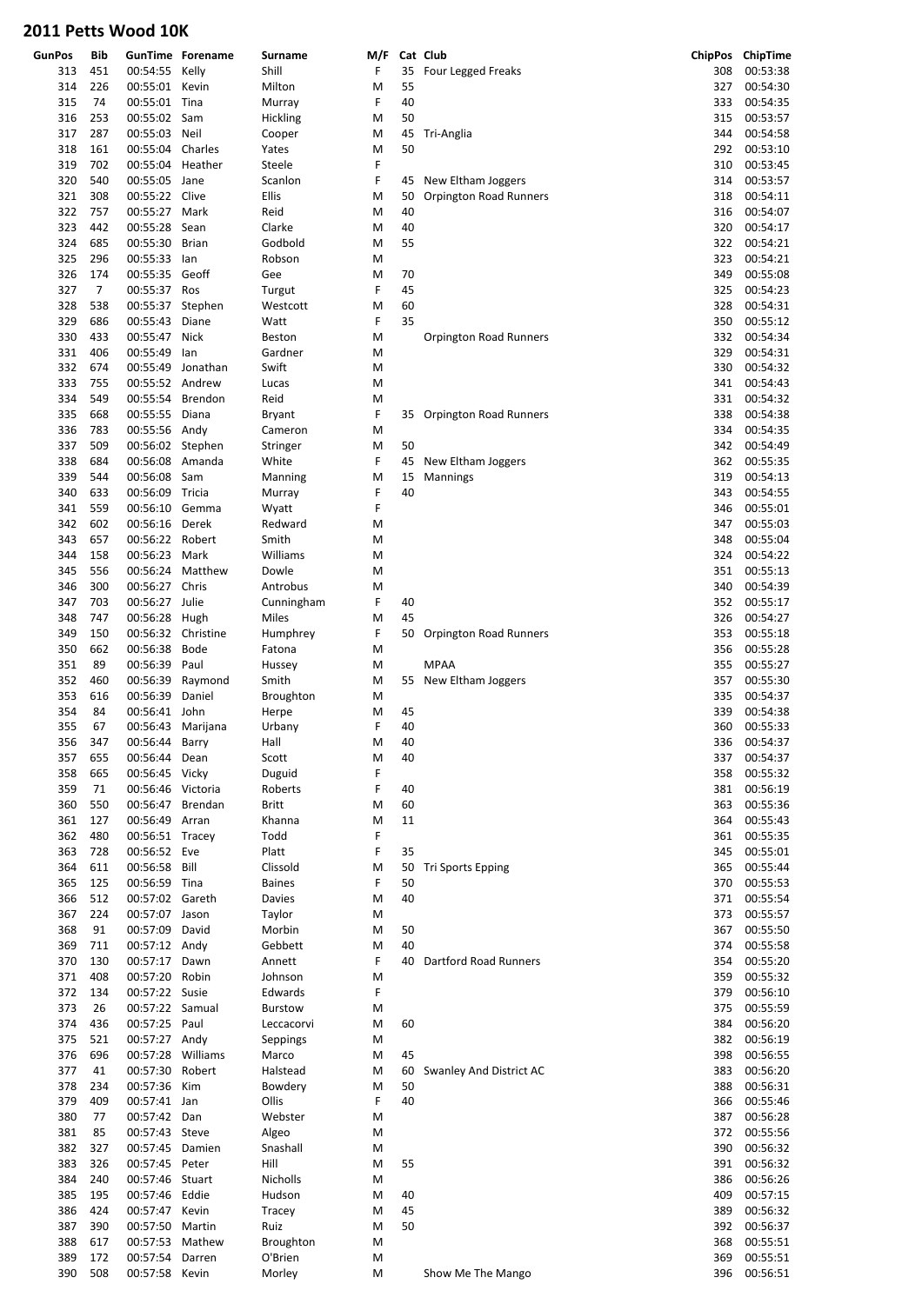| <b>GunPos</b> | Bib |                    | <b>GunTime Forename</b>    | <b>Surname</b>  | M/F    |          | Cat Club                      |     | ChipPos ChipTime |
|---------------|-----|--------------------|----------------------------|-----------------|--------|----------|-------------------------------|-----|------------------|
| 313           | 451 | 00:54:55 Kelly     |                            | Shill           | F      | 35       | Four Legged Freaks            | 308 | 00:53:38         |
| 314           | 226 | 00:55:01 Kevin     |                            | Milton          | M      | 55       |                               | 327 | 00:54:30         |
| 315           | 74  | 00:55:01 Tina      |                            | Murray          | F      | 40       |                               | 333 | 00:54:35         |
| 316           | 253 | 00:55:02 Sam       |                            | Hickling        | M      | 50       |                               | 315 | 00:53:57         |
| 317           | 287 | 00:55:03           | Neil                       | Cooper          | M      | 45       | Tri-Anglia                    | 344 | 00:54:58         |
| 318           | 161 | 00:55:04 Charles   |                            | Yates           | M      | 50       |                               | 292 | 00:53:10         |
| 319           | 702 | 00:55:04 Heather   |                            | Steele          | F      |          |                               | 310 | 00:53:45         |
| 320           | 540 | 00:55:05 Jane      |                            | Scanlon         | F      | 45       | New Eltham Joggers            | 314 | 00:53:57         |
| 321           | 308 | 00:55:22 Clive     |                            | Ellis           | M      | 50       | <b>Orpington Road Runners</b> | 318 | 00:54:11         |
| 322           | 757 | 00:55:27 Mark      |                            | Reid            | M      | 40       |                               | 316 | 00:54:07         |
| 323           | 442 | 00:55:28           | Sean                       | Clarke          | M      | 40       |                               | 320 | 00:54:17         |
| 324           | 685 | 00:55:30           | Brian                      | Godbold         | M      | 55       |                               | 322 | 00:54:21         |
| 325           | 296 | 00:55:33 lan       |                            | Robson          | M      |          |                               | 323 | 00:54:21         |
| 326           | 174 | 00:55:35 Geoff     |                            | Gee             | M      | 70       |                               | 349 | 00:55:08         |
| 327           | 7   | 00:55:37 Ros       |                            | Turgut          | F      | 45       |                               | 325 | 00:54:23         |
| 328           | 538 | 00:55:37 Stephen   |                            | Westcott        | M      | 60       |                               | 328 | 00:54:31         |
| 329           | 686 | 00:55:43           | Diane                      | Watt            | F      | 35       |                               | 350 | 00:55:12         |
| 330           | 433 | 00:55:47           | Nick                       | <b>Beston</b>   | M      |          | Orpington Road Runners        | 332 | 00:54:34         |
| 331           | 406 | 00:55:49           | lan                        | Gardner         | M      |          |                               | 329 | 00:54:31         |
| 332           | 674 | 00:55:49           | Jonathan                   | Swift           | M      |          |                               | 330 | 00:54:32         |
| 333           | 755 | 00:55:52 Andrew    |                            | Lucas           | M      |          |                               | 341 | 00:54:43         |
| 334           | 549 | 00:55:54           | Brendon                    | Reid            | M      |          |                               | 331 | 00:54:32         |
| 335           | 668 | 00:55:55 Diana     |                            | Bryant          | F      |          | 35 Orpington Road Runners     | 338 | 00:54:38         |
| 336           | 783 | 00:55:56 Andy      |                            | Cameron         | M      |          |                               | 334 | 00:54:35         |
| 337           | 509 | 00:56:02 Stephen   |                            | Stringer        | M      | 50       |                               | 342 | 00:54:49         |
| 338           | 684 | 00:56:08 Amanda    |                            | White           | F      | 45       | New Eltham Joggers            | 362 | 00:55:35         |
| 339           | 544 | 00:56:08 Sam       |                            | Manning         | M      | 15       | <b>Mannings</b>               | 319 | 00:54:13         |
| 340           | 633 | 00:56:09 Tricia    |                            | Murray          | F      | 40       |                               | 343 | 00:54:55         |
| 341           | 559 | 00:56:10 Gemma     |                            | Wyatt           | F      |          |                               | 346 | 00:55:01         |
| 342           | 602 | 00:56:16           | Derek                      | Redward         | M      |          |                               | 347 | 00:55:03         |
| 343           | 657 | 00:56:22 Robert    |                            | Smith           | M      |          |                               | 348 | 00:55:04         |
| 344           | 158 | 00:56:23           | Mark                       | Williams        | M      |          |                               | 324 | 00:54:22         |
| 345           | 556 | 00:56:24           | Matthew                    | Dowle           | M      |          |                               | 351 | 00:55:13         |
| 346           | 300 | 00:56:27           | Chris                      | Antrobus        | M      |          |                               | 340 | 00:54:39         |
| 347           | 703 | 00:56:27 Julie     |                            | Cunningham      | F      | 40       |                               | 352 | 00:55:17         |
| 348           | 747 | 00:56:28 Hugh      |                            | Miles           | M      | 45       |                               | 326 | 00:54:27         |
| 349           | 150 | 00:56:32 Christine |                            | Humphrey        | F      |          | 50 Orpington Road Runners     | 353 | 00:55:18         |
| 350           | 662 | 00:56:38           | Bode                       | Fatona          | M      |          |                               | 356 | 00:55:28         |
| 351           | 89  | 00:56:39           | Paul                       |                 |        |          | <b>MPAA</b>                   | 355 | 00:55:27         |
| 352           | 460 |                    |                            | Hussey<br>Smith | M<br>M |          |                               | 357 | 00:55:30         |
| 353           | 616 | 00:56:39           | 00:56:39 Raymond<br>Daniel |                 |        |          | 55 New Eltham Joggers         | 335 | 00:54:37         |
| 354           | 84  |                    |                            | Broughton       | M      |          |                               | 339 | 00:54:38         |
|               |     | 00:56:41 John      |                            | Herpe           | M      | 45<br>40 |                               |     |                  |
| 355           | 67  | 00:56:43 Marijana  |                            | Urbany          | F      |          |                               | 360 | 00:55:33         |
| 356           | 347 | 00:56:44 Barry     |                            | Hall            | М      | 40       |                               |     | 336 00:54:37     |
| 357           | 655 | 00:56:44 Dean      |                            | Scott           | M      | 40       |                               |     | 337 00:54:37     |
| 358           | 665 | 00:56:45 Vicky     |                            | Duguid          | F      |          |                               | 358 | 00:55:32         |
| 359           | 71  | 00:56:46 Victoria  |                            | Roberts         | F      | 40       |                               | 381 | 00:56:19         |
| 360           | 550 | 00:56:47 Brendan   |                            | <b>Britt</b>    | M      | 60       |                               | 363 | 00:55:36         |
| 361           | 127 | 00:56:49 Arran     |                            | Khanna          | M      | 11       |                               | 364 | 00:55:43         |
| 362           | 480 | 00:56:51 Tracey    |                            | Todd            | F      |          |                               | 361 | 00:55:35         |
| 363           | 728 | 00:56:52 Eve       |                            | Platt           | F      | 35       |                               | 345 | 00:55:01         |
| 364           | 611 | 00:56:58 Bill      |                            | Clissold        | M      | 50       | <b>Tri Sports Epping</b>      | 365 | 00:55:44         |
| 365           | 125 | 00:56:59 Tina      |                            | <b>Baines</b>   | F      | 50       |                               | 370 | 00:55:53         |
| 366           | 512 | 00:57:02 Gareth    |                            | Davies          | M      | 40       |                               | 371 | 00:55:54         |
| 367           | 224 | 00:57:07 Jason     |                            | Taylor          | M      |          |                               | 373 | 00:55:57         |
| 368           | 91  | 00:57:09 David     |                            | Morbin          | M      | 50       |                               | 367 | 00:55:50         |
| 369           | 711 | 00:57:12 Andy      |                            | Gebbett         | M      | 40       |                               | 374 | 00:55:58         |
| 370           | 130 | 00:57:17 Dawn      |                            | Annett          | F      |          | 40 Dartford Road Runners      | 354 | 00:55:20         |
| 371           | 408 | 00:57:20 Robin     |                            | Johnson         | M      |          |                               | 359 | 00:55:32         |
| 372           | 134 | 00:57:22 Susie     |                            | Edwards         | F      |          |                               | 379 | 00:56:10         |
| 373           | 26  | 00:57:22 Samual    |                            | Burstow         | M      |          |                               | 375 | 00:55:59         |
| 374           | 436 | 00:57:25 Paul      |                            | Leccacorvi      | М      | 60       |                               | 384 | 00:56:20         |
| 375           | 521 | 00:57:27 Andy      |                            | Seppings        | M      |          |                               | 382 | 00:56:19         |
| 376           | 696 | 00:57:28 Williams  |                            | Marco           | M      | 45       |                               | 398 | 00:56:55         |
| 377           | 41  | 00:57:30 Robert    |                            | Halstead        | M      | 60       | Swanley And District AC       | 383 | 00:56:20         |
| 378           | 234 | 00:57:36 Kim       |                            | Bowdery         | M      | 50       |                               | 388 | 00:56:31         |
| 379           | 409 | 00:57:41 Jan       |                            | Ollis           | F      | 40       |                               | 366 | 00:55:46         |
| 380           | 77  | 00:57:42 Dan       |                            | Webster         | M      |          |                               | 387 | 00:56:28         |
| 381           | 85  | 00:57:43 Steve     |                            | Algeo           | M      |          |                               | 372 | 00:55:56         |
| 382           | 327 | 00:57:45 Damien    |                            | Snashall        | M      |          |                               | 390 | 00:56:32         |
| 383           | 326 | 00:57:45 Peter     |                            | Hill            | M      | 55       |                               | 391 | 00:56:32         |
| 384           | 240 | 00:57:46 Stuart    |                            | Nicholls        | M      |          |                               | 386 | 00:56:26         |
| 385           | 195 | 00:57:46 Eddie     |                            | Hudson          | M      | 40       |                               | 409 | 00:57:15         |
| 386           | 424 | 00:57:47 Kevin     |                            | Tracey          | M      | 45       |                               | 389 | 00:56:32         |
| 387           | 390 | 00:57:50 Martin    |                            | Ruiz            | M      | 50       |                               | 392 | 00:56:37         |
| 388           | 617 | 00:57:53 Mathew    |                            | Broughton       | M      |          |                               | 368 | 00:55:51         |
| 389           | 172 | 00:57:54           | Darren                     | O'Brien         | М      |          |                               | 369 | 00:55:51         |
| 390           | 508 | 00:57:58 Kevin     |                            | Morley          | M      |          | Show Me The Mango             | 396 | 00:56:51         |
|               |     |                    |                            |                 |        |          |                               |     |                  |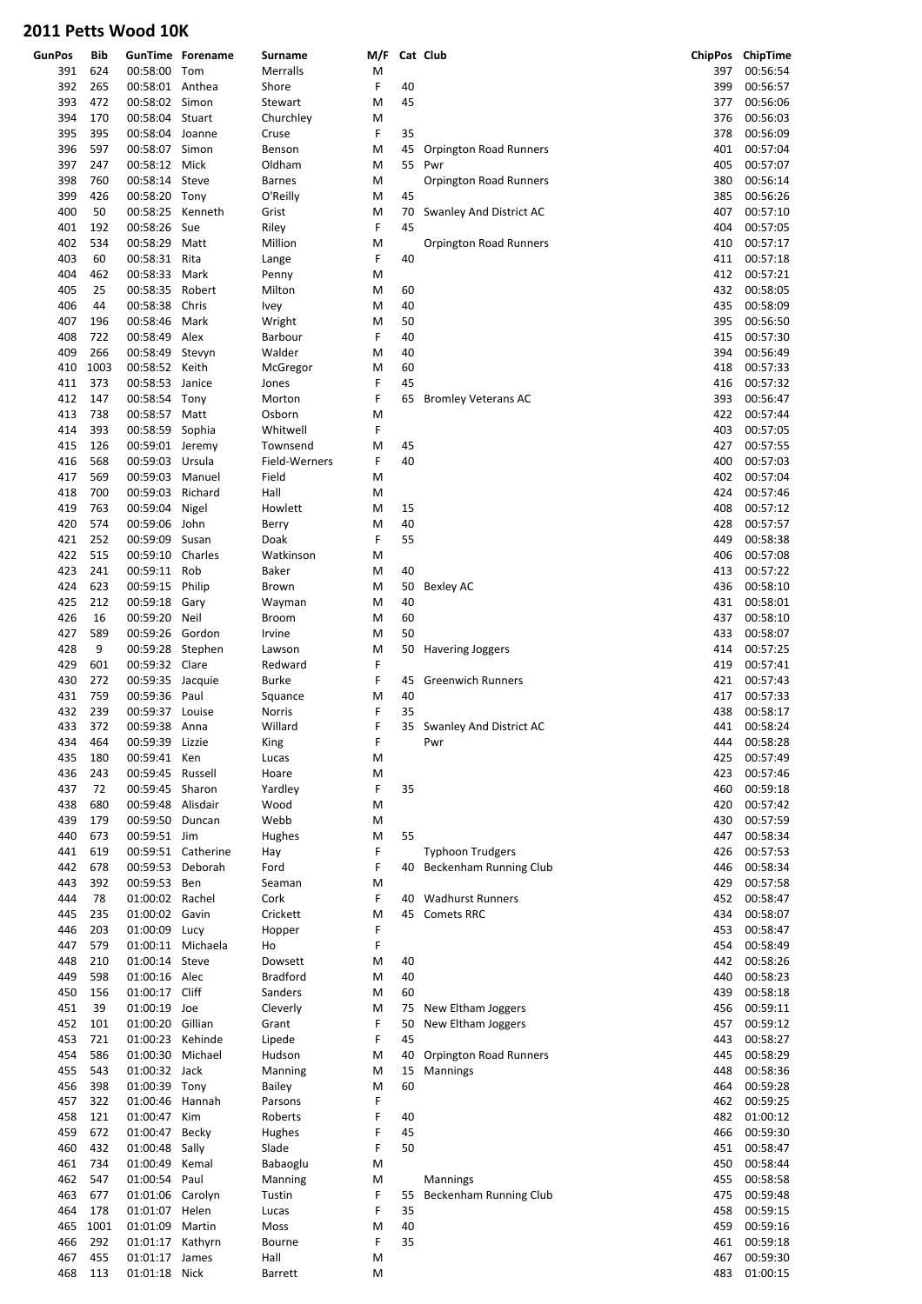| <b>GunPos</b> | Bib  |                   | <b>GunTime Forename</b> | Surname         | M/F |    | Cat Club                   |     | ChipPos ChipTime |
|---------------|------|-------------------|-------------------------|-----------------|-----|----|----------------------------|-----|------------------|
| 391           | 624  | 00:58:00          | Tom                     | Merralls        | M   |    |                            | 397 | 00:56:54         |
| 392           | 265  | 00:58:01 Anthea   |                         | Shore           | F   | 40 |                            | 399 | 00:56:57         |
| 393           | 472  | 00:58:02 Simon    |                         | Stewart         | M   | 45 |                            | 377 | 00:56:06         |
| 394           | 170  | 00:58:04 Stuart   |                         | Churchley       | M   |    |                            | 376 | 00:56:03         |
|               |      |                   |                         |                 |     |    |                            |     |                  |
| 395           | 395  | 00:58:04 Joanne   |                         | Cruse           | F   | 35 |                            | 378 | 00:56:09         |
| 396           | 597  | 00:58:07 Simon    |                         | Benson          | M   | 45 | Orpington Road Runners     | 401 | 00:57:04         |
| 397           | 247  | 00:58:12 Mick     |                         | Oldham          | M   | 55 | Pwr                        | 405 | 00:57:07         |
| 398           | 760  | 00:58:14 Steve    |                         | <b>Barnes</b>   | M   |    | Orpington Road Runners     | 380 | 00:56:14         |
| 399           | 426  | 00:58:20 Tony     |                         | O'Reilly        | M   | 45 |                            | 385 | 00:56:26         |
| 400           | 50   | 00:58:25 Kenneth  |                         | Grist           | M   | 70 | Swanley And District AC    | 407 | 00:57:10         |
| 401           | 192  | 00:58:26          | Sue                     | Riley           | F   | 45 |                            | 404 | 00:57:05         |
| 402           | 534  | 00:58:29          | Matt                    | Million         | M   |    | Orpington Road Runners     | 410 | 00:57:17         |
| 403           | 60   | 00:58:31          | Rita                    | Lange           | F   | 40 |                            | 411 | 00:57:18         |
| 404           | 462  | 00:58:33          | Mark                    | Penny           | М   |    |                            | 412 | 00:57:21         |
| 405           | 25   | 00:58:35 Robert   |                         | Milton          | M   | 60 |                            | 432 | 00:58:05         |
| 406           |      |                   |                         |                 |     |    |                            | 435 |                  |
|               | 44   | 00:58:38          | Chris                   | <b>Ivey</b>     | M   | 40 |                            |     | 00:58:09         |
| 407           | 196  | 00:58:46          | Mark                    | Wright          | M   | 50 |                            | 395 | 00:56:50         |
| 408           | 722  | 00:58:49 Alex     |                         | Barbour         | F   | 40 |                            | 415 | 00:57:30         |
| 409           | 266  | 00:58:49 Stevyn   |                         | Walder          | M   | 40 |                            | 394 | 00:56:49         |
| 410           | 1003 | 00:58:52 Keith    |                         | McGregor        | M   | 60 |                            | 418 | 00:57:33         |
| 411           | 373  | 00:58:53 Janice   |                         | Jones           | F   | 45 |                            | 416 | 00:57:32         |
| 412           | 147  | 00:58:54 Tony     |                         | Morton          | F   | 65 | <b>Bromley Veterans AC</b> | 393 | 00:56:47         |
| 413           | 738  | 00:58:57 Matt     |                         | Osborn          | M   |    |                            | 422 | 00:57:44         |
| 414           | 393  | 00:58:59 Sophia   |                         | Whitwell        | F   |    |                            | 403 | 00:57:05         |
| 415           | 126  | 00:59:01 Jeremy   |                         | Townsend        | M   | 45 |                            | 427 | 00:57:55         |
| 416           | 568  | 00:59:03 Ursula   |                         | Field-Werners   | F   | 40 |                            | 400 | 00:57:03         |
|               |      |                   |                         |                 |     |    |                            |     |                  |
| 417           | 569  | 00:59:03 Manuel   |                         | Field           | M   |    |                            | 402 | 00:57:04         |
| 418           | 700  | 00:59:03          | Richard                 | Hall            | М   |    |                            | 424 | 00:57:46         |
| 419           | 763  | 00:59:04          | Nigel                   | Howlett         | M   | 15 |                            | 408 | 00:57:12         |
| 420           | 574  | 00:59:06          | John                    | Berry           | M   | 40 |                            | 428 | 00:57:57         |
| 421           | 252  | 00:59:09          | Susan                   | Doak            | F   | 55 |                            | 449 | 00:58:38         |
| 422           | 515  | 00:59:10          | Charles                 | Watkinson       | M   |    |                            | 406 | 00:57:08         |
| 423           | 241  | 00:59:11          | Rob                     | Baker           | M   | 40 |                            | 413 | 00:57:22         |
| 424           | 623  | 00:59:15 Philip   |                         | Brown           | M   | 50 | <b>Bexley AC</b>           | 436 | 00:58:10         |
| 425           | 212  | 00:59:18          | Gary                    | Wayman          | M   | 40 |                            | 431 | 00:58:01         |
| 426           | 16   | 00:59:20          | Neil                    | <b>Broom</b>    | M   | 60 |                            | 437 | 00:58:10         |
|               |      |                   |                         |                 |     |    |                            |     |                  |
| 427           | 589  | 00:59:26 Gordon   |                         | Irvine          | M   | 50 |                            | 433 | 00:58:07         |
| 428           | 9    | 00:59:28 Stephen  |                         | Lawson          | M   |    | 50 Havering Joggers        | 414 | 00:57:25         |
| 429           | 601  | 00:59:32 Clare    |                         | Redward         | F   |    |                            | 419 | 00:57:41         |
| 430           | 272  | 00:59:35 Jacquie  |                         | <b>Burke</b>    | F   | 45 | <b>Greenwich Runners</b>   | 421 | 00:57:43         |
| 431           | 759  | 00:59:36 Paul     |                         | Squance         | M   | 40 |                            | 417 | 00:57:33         |
| 432           | 239  | 00:59:37 Louise   |                         | Norris          | F   | 35 |                            | 438 | 00:58:17         |
| 433           | 372  | 00:59:38 Anna     |                         | Willard         | F   |    | 35 Swanley And District AC | 441 | 00:58:24         |
| 434           | 464  | 00:59:39          | Lizzie                  | King            | F   |    | Pwr                        | 444 | 00:58:28         |
| 435           | 180  | 00:59:41 Ken      |                         | Lucas           | M   |    |                            | 425 | 00:57:49         |
| 436           | 243  | 00:59:45 Russell  |                         | Hoare           | M   |    |                            | 423 | 00:57:46         |
| 437           | 72   | 00:59:45          | Sharon                  | Yardley         | F   | 35 |                            | 460 | 00:59:18         |
| 438           | 680  | 00:59:48 Alisdair |                         | Wood            | M   |    |                            | 420 | 00:57:42         |
| 439           | 179  | 00:59:50          | Duncan                  | Webb            |     |    |                            | 430 | 00:57:59         |
|               |      | 00:59:51 Jim      |                         |                 | M   |    |                            |     |                  |
| 440           | 673  |                   |                         | Hughes          | M   | 55 |                            | 447 | 00:58:34         |
| 441           | 619  |                   | 00:59:51 Catherine      | Hay             | F   |    | <b>Typhoon Trudgers</b>    | 426 | 00:57:53         |
| 442           | 678  | 00:59:53 Deborah  |                         | Ford            | F   | 40 | Beckenham Running Club     | 446 | 00:58:34         |
| 443           | 392  | 00:59:53 Ben      |                         | Seaman          | M   |    |                            | 429 | 00:57:58         |
| 444           | 78   | 01:00:02 Rachel   |                         | Cork            | F   | 40 | <b>Wadhurst Runners</b>    | 452 | 00:58:47         |
| 445           | 235  | 01:00:02 Gavin    |                         | Crickett        | M   | 45 | <b>Comets RRC</b>          | 434 | 00:58:07         |
| 446           | 203  | 01:00:09 Lucy     |                         | Hopper          | F   |    |                            | 453 | 00:58:47         |
| 447           | 579  |                   | 01:00:11 Michaela       | Ho              | F   |    |                            | 454 | 00:58:49         |
| 448           | 210  | 01:00:14 Steve    |                         | Dowsett         | M   | 40 |                            | 442 | 00:58:26         |
| 449           | 598  | 01:00:16 Alec     |                         | <b>Bradford</b> | М   | 40 |                            | 440 | 00:58:23         |
| 450           | 156  | 01:00:17          | Cliff                   | Sanders         | M   | 60 |                            | 439 | 00:58:18         |
| 451           | 39   | 01:00:19 Joe      |                         | Cleverly        | M   | 75 | New Eltham Joggers         | 456 | 00:59:11         |
| 452           | 101  | 01:00:20 Gillian  |                         | Grant           | F   | 50 |                            | 457 | 00:59:12         |
|               |      |                   |                         |                 |     |    | New Eltham Joggers         |     |                  |
| 453           | 721  | 01:00:23 Kehinde  |                         | Lipede          | F   | 45 |                            | 443 | 00:58:27         |
| 454           | 586  | 01:00:30          | Michael                 | Hudson          | M   | 40 | Orpington Road Runners     | 445 | 00:58:29         |
| 455           | 543  | 01:00:32 Jack     |                         | Manning         | M   | 15 | <b>Mannings</b>            | 448 | 00:58:36         |
| 456           | 398  | 01:00:39 Tony     |                         | Bailey          | M   | 60 |                            | 464 | 00:59:28         |
| 457           | 322  | 01:00:46          | Hannah                  | Parsons         | F   |    |                            | 462 | 00:59:25         |
| 458           | 121  | 01:00:47 Kim      |                         | Roberts         | F   | 40 |                            | 482 | 01:00:12         |
| 459           | 672  | 01:00:47 Becky    |                         | Hughes          | F   | 45 |                            | 466 | 00:59:30         |
| 460           | 432  | 01:00:48 Sally    |                         | Slade           | F   | 50 |                            | 451 | 00:58:47         |
| 461           | 734  | 01:00:49 Kemal    |                         | Babaoglu        | M   |    |                            | 450 | 00:58:44         |
| 462           | 547  | 01:00:54          | Paul                    | Manning         | M   |    | Mannings                   | 455 | 00:58:58         |
| 463           | 677  | 01:01:06 Carolyn  |                         | Tustin          | F   | 55 | Beckenham Running Club     | 475 | 00:59:48         |
| 464           | 178  | 01:01:07 Helen    |                         | Lucas           | F   | 35 |                            | 458 | 00:59:15         |
| 465           | 1001 | 01:01:09          | Martin                  | Moss            | M   | 40 |                            | 459 | 00:59:16         |
|               |      |                   |                         |                 |     |    |                            |     |                  |
| 466           | 292  | 01:01:17 Kathyrn  |                         | Bourne          | F   | 35 |                            | 461 | 00:59:18         |
| 467           | 455  | 01:01:17          | James                   | Hall            | M   |    |                            | 467 | 00:59:30         |
| 468           | 113  | 01:01:18 Nick     |                         | Barrett         | Μ   |    |                            | 483 | 01:00:15         |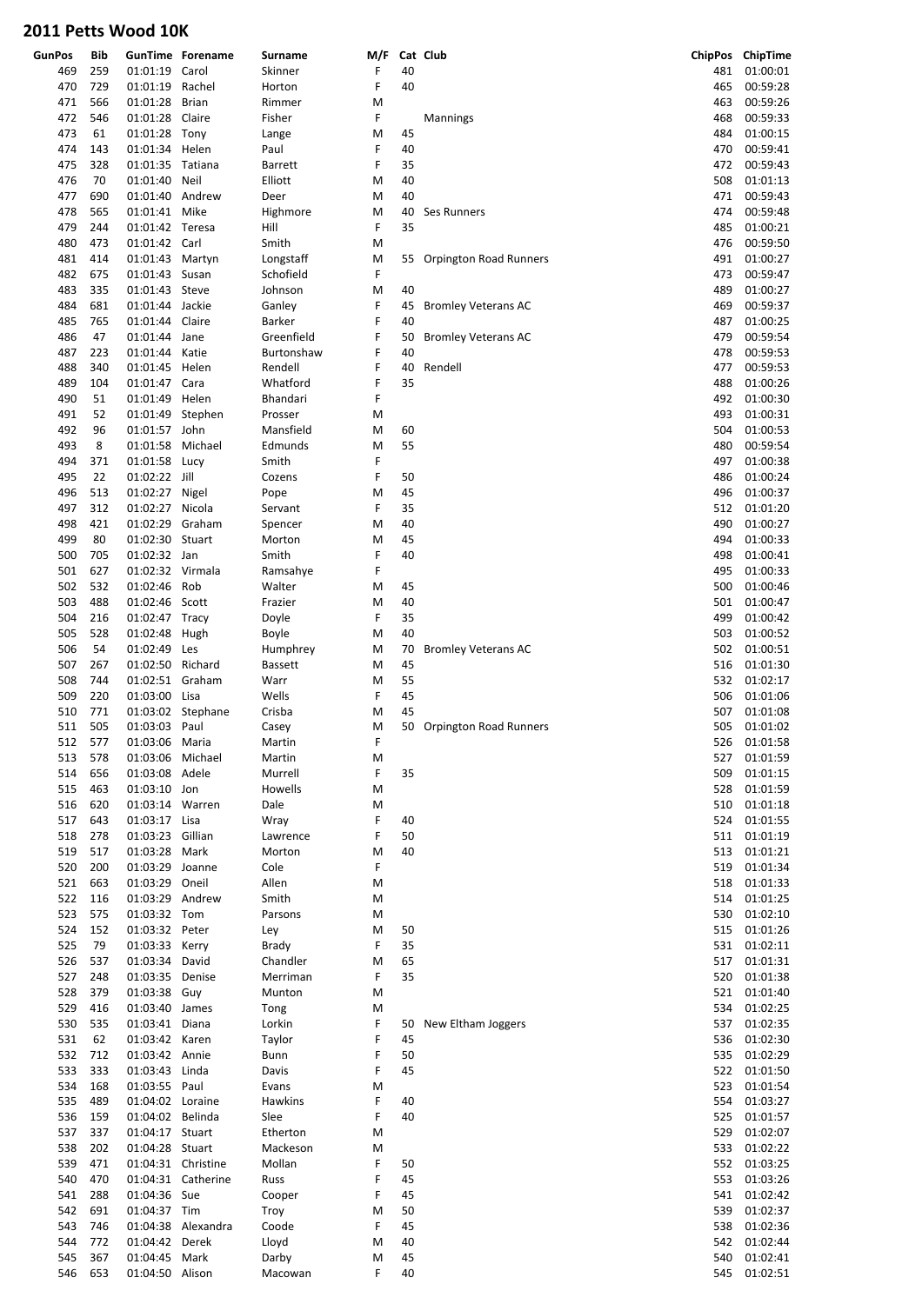| <b>GunPos</b> | Bib |                  | <b>GunTime Forename</b> | Surname        | M/F |    | Cat Club                   |     | ChipPos ChipTime |
|---------------|-----|------------------|-------------------------|----------------|-----|----|----------------------------|-----|------------------|
| 469           | 259 | 01:01:19         | Carol                   | Skinner        | F   | 40 |                            | 481 | 01:00:01         |
| 470           | 729 | 01:01:19 Rachel  |                         | Horton         | F   | 40 |                            | 465 | 00:59:28         |
| 471           | 566 | 01:01:28         | Brian                   | Rimmer         | M   |    |                            | 463 | 00:59:26         |
| 472           | 546 | 01:01:28 Claire  |                         |                | F   |    |                            | 468 | 00:59:33         |
|               |     |                  |                         | Fisher         |     |    | Mannings                   |     |                  |
| 473           | 61  | 01:01:28 Tony    |                         | Lange          | M   | 45 |                            | 484 | 01:00:15         |
| 474           | 143 | 01:01:34 Helen   |                         | Paul           | F   | 40 |                            | 470 | 00:59:41         |
| 475           | 328 | 01:01:35 Tatiana |                         | Barrett        | F   | 35 |                            | 472 | 00:59:43         |
| 476           | 70  | 01:01:40         | Neil                    | Elliott        | M   | 40 |                            | 508 | 01:01:13         |
| 477           | 690 | 01:01:40 Andrew  |                         | Deer           | M   | 40 |                            | 471 | 00:59:43         |
| 478           | 565 | 01:01:41 Mike    |                         | Highmore       | M   | 40 | Ses Runners                | 474 | 00:59:48         |
| 479           | 244 | 01:01:42 Teresa  |                         | Hill           | F   | 35 |                            | 485 | 01:00:21         |
| 480           | 473 | 01:01:42 Carl    |                         | Smith          | M   |    |                            | 476 | 00:59:50         |
| 481           | 414 | 01:01:43 Martyn  |                         | Longstaff      | M   |    | 55 Orpington Road Runners  | 491 | 01:00:27         |
| 482           | 675 | 01:01:43 Susan   |                         | Schofield      | F   |    |                            | 473 | 00:59:47         |
| 483           | 335 | 01:01:43 Steve   |                         | Johnson        | M   | 40 |                            | 489 | 01:00:27         |
| 484           | 681 | 01:01:44 Jackie  |                         | Ganley         | F   | 45 | <b>Bromley Veterans AC</b> | 469 | 00:59:37         |
| 485           | 765 | 01:01:44 Claire  |                         | Barker         | F   | 40 |                            | 487 | 01:00:25         |
|               |     |                  |                         |                |     |    |                            |     |                  |
| 486           | 47  | 01:01:44 Jane    |                         | Greenfield     | F   | 50 | <b>Bromley Veterans AC</b> | 479 | 00:59:54         |
| 487           | 223 | 01:01:44         | Katie                   | Burtonshaw     | F   | 40 |                            | 478 | 00:59:53         |
| 488           | 340 | 01:01:45 Helen   |                         | Rendell        | F   | 40 | Rendell                    | 477 | 00:59:53         |
| 489           | 104 | 01:01:47 Cara    |                         | Whatford       | F   | 35 |                            | 488 | 01:00:26         |
| 490           | 51  | 01:01:49 Helen   |                         | Bhandari       | F   |    |                            | 492 | 01:00:30         |
| 491           | 52  | 01:01:49 Stephen |                         | Prosser        | M   |    |                            | 493 | 01:00:31         |
| 492           | 96  | 01:01:57 John    |                         | Mansfield      | M   | 60 |                            | 504 | 01:00:53         |
| 493           | 8   | 01:01:58         | Michael                 | Edmunds        | M   | 55 |                            | 480 | 00:59:54         |
| 494           | 371 | 01:01:58 Lucy    |                         | Smith          | F   |    |                            | 497 | 01:00:38         |
| 495           | 22  | 01:02:22 Jill    |                         | Cozens         | F   | 50 |                            | 486 | 01:00:24         |
| 496           | 513 | 01:02:27 Nigel   |                         | Pope           | M   | 45 |                            | 496 | 01:00:37         |
| 497           | 312 | 01:02:27 Nicola  |                         | Servant        | F   | 35 |                            | 512 | 01:01:20         |
|               |     |                  |                         |                |     |    |                            |     |                  |
| 498           | 421 | 01:02:29         | Graham                  | Spencer        | M   | 40 |                            | 490 | 01:00:27         |
| 499           | 80  | 01:02:30 Stuart  |                         | Morton         | M   | 45 |                            | 494 | 01:00:33         |
| 500           | 705 | 01:02:32 Jan     |                         | Smith          | F   | 40 |                            | 498 | 01:00:41         |
| 501           | 627 | 01:02:32 Virmala |                         | Ramsahye       | F   |    |                            | 495 | 01:00:33         |
| 502           | 532 | 01:02:46         | Rob                     | Walter         | M   | 45 |                            | 500 | 01:00:46         |
| 503           | 488 | 01:02:46 Scott   |                         | Frazier        | M   | 40 |                            | 501 | 01:00:47         |
| 504           | 216 | 01:02:47 Tracy   |                         | Doyle          | F   | 35 |                            | 499 | 01:00:42         |
| 505           | 528 | 01:02:48         | Hugh                    | Boyle          | M   | 40 |                            | 503 | 01:00:52         |
| 506           | 54  | 01:02:49         | Les                     | Humphrey       | M   | 70 | <b>Bromley Veterans AC</b> | 502 | 01:00:51         |
| 507           | 267 | 01:02:50 Richard |                         | <b>Bassett</b> | M   | 45 |                            | 516 | 01:01:30         |
| 508           | 744 | 01:02:51 Graham  |                         | Warr           | M   | 55 |                            | 532 | 01:02:17         |
| 509           | 220 | 01:03:00         | Lisa                    | Wells          | F   | 45 |                            | 506 | 01:01:06         |
| 510           | 771 |                  | 01:03:02 Stephane       | Crisba         | M   | 45 |                            | 507 | 01:01:08         |
|               |     |                  |                         |                |     |    |                            | 505 |                  |
| 511           | 505 | 01:03:03 Paul    |                         | Casey          | M   |    | 50 Orpington Road Runners  |     | 01:01:02         |
| 512           | 577 | 01:03:06         | Maria                   | Martin         | F   |    |                            | 526 | 01:01:58         |
| 513           | 578 | 01:03:06 Michael |                         | Martin         | M   |    |                            | 527 | 01:01:59         |
| 514           | 656 | 01:03:08 Adele   |                         | Murrell        | F   | 35 |                            | 509 | 01:01:15         |
| 515           | 463 | 01:03:10 Jon     |                         | Howells        | M   |    |                            | 528 | 01:01:59         |
| 516           | 620 | 01:03:14 Warren  |                         | Dale           | M   |    |                            | 510 | 01:01:18         |
| 517           | 643 | 01:03:17 Lisa    |                         | Wray           | F   | 40 |                            | 524 | 01:01:55         |
| 518           | 278 | 01:03:23 Gillian |                         | Lawrence       | F   | 50 |                            | 511 | 01:01:19         |
| 519           | 517 | 01:03:28         | Mark                    | Morton         | M   | 40 |                            | 513 | 01:01:21         |
| 520           | 200 | 01:03:29         | Joanne                  | Cole           | F   |    |                            | 519 | 01:01:34         |
| 521           | 663 | 01:03:29 Oneil   |                         | Allen          | M   |    |                            | 518 | 01:01:33         |
| 522           | 116 | 01:03:29 Andrew  |                         | Smith          | М   |    |                            | 514 | 01:01:25         |
| 523           | 575 | 01:03:32 Tom     |                         | Parsons        | M   |    |                            | 530 | 01:02:10         |
|               |     |                  |                         |                |     |    |                            |     |                  |
| 524           | 152 | 01:03:32 Peter   |                         | Ley            | M   | 50 |                            | 515 | 01:01:26         |
| 525           | 79  | 01:03:33 Kerry   |                         | Brady          | F   | 35 |                            | 531 | 01:02:11         |
| 526           | 537 | 01:03:34 David   |                         | Chandler       | M   | 65 |                            | 517 | 01:01:31         |
| 527           | 248 | 01:03:35         | Denise                  | Merriman       | F   | 35 |                            | 520 | 01:01:38         |
| 528           | 379 | 01:03:38 Guy     |                         | Munton         | M   |    |                            | 521 | 01:01:40         |
| 529           | 416 | 01:03:40 James   |                         | Tong           | M   |    |                            | 534 | 01:02:25         |
| 530           | 535 | 01:03:41 Diana   |                         | Lorkin         | F   | 50 | New Eltham Joggers         | 537 | 01:02:35         |
| 531           | 62  | 01:03:42 Karen   |                         | Taylor         | F   | 45 |                            | 536 | 01:02:30         |
| 532           | 712 | 01:03:42 Annie   |                         | Bunn           | F   | 50 |                            | 535 | 01:02:29         |
| 533           | 333 | 01:03:43 Linda   |                         | Davis          | F   | 45 |                            | 522 | 01:01:50         |
| 534           | 168 | 01:03:55 Paul    |                         | Evans          | M   |    |                            | 523 | 01:01:54         |
| 535           | 489 | 01:04:02 Loraine |                         | Hawkins        | F   | 40 |                            | 554 | 01:03:27         |
| 536           |     | 01:04:02 Belinda |                         |                | F   | 40 |                            | 525 | 01:01:57         |
|               | 159 |                  |                         | Slee           |     |    |                            |     |                  |
| 537           | 337 | 01:04:17 Stuart  |                         | Etherton       | M   |    |                            | 529 | 01:02:07         |
| 538           | 202 | 01:04:28 Stuart  |                         | Mackeson       | M   |    |                            | 533 | 01:02:22         |
| 539           | 471 |                  | 01:04:31 Christine      | Mollan         | F   | 50 |                            | 552 | 01:03:25         |
| 540           | 470 |                  | 01:04:31 Catherine      | Russ           | F   | 45 |                            | 553 | 01:03:26         |
| 541           | 288 | 01:04:36 Sue     |                         | Cooper         | F   | 45 |                            | 541 | 01:02:42         |
| 542           | 691 | 01:04:37 Tim     |                         | Troy           | M   | 50 |                            | 539 | 01:02:37         |
| 543           | 746 |                  | 01:04:38 Alexandra      | Coode          | F   | 45 |                            | 538 | 01:02:36         |
| 544           | 772 | 01:04:42 Derek   |                         | Lloyd          | M   | 40 |                            | 542 | 01:02:44         |
| 545           | 367 | 01:04:45 Mark    |                         | Darby          | M   | 45 |                            | 540 | 01:02:41         |
| 546           | 653 | 01:04:50 Alison  |                         | Macowan        | F   | 40 |                            | 545 | 01:02:51         |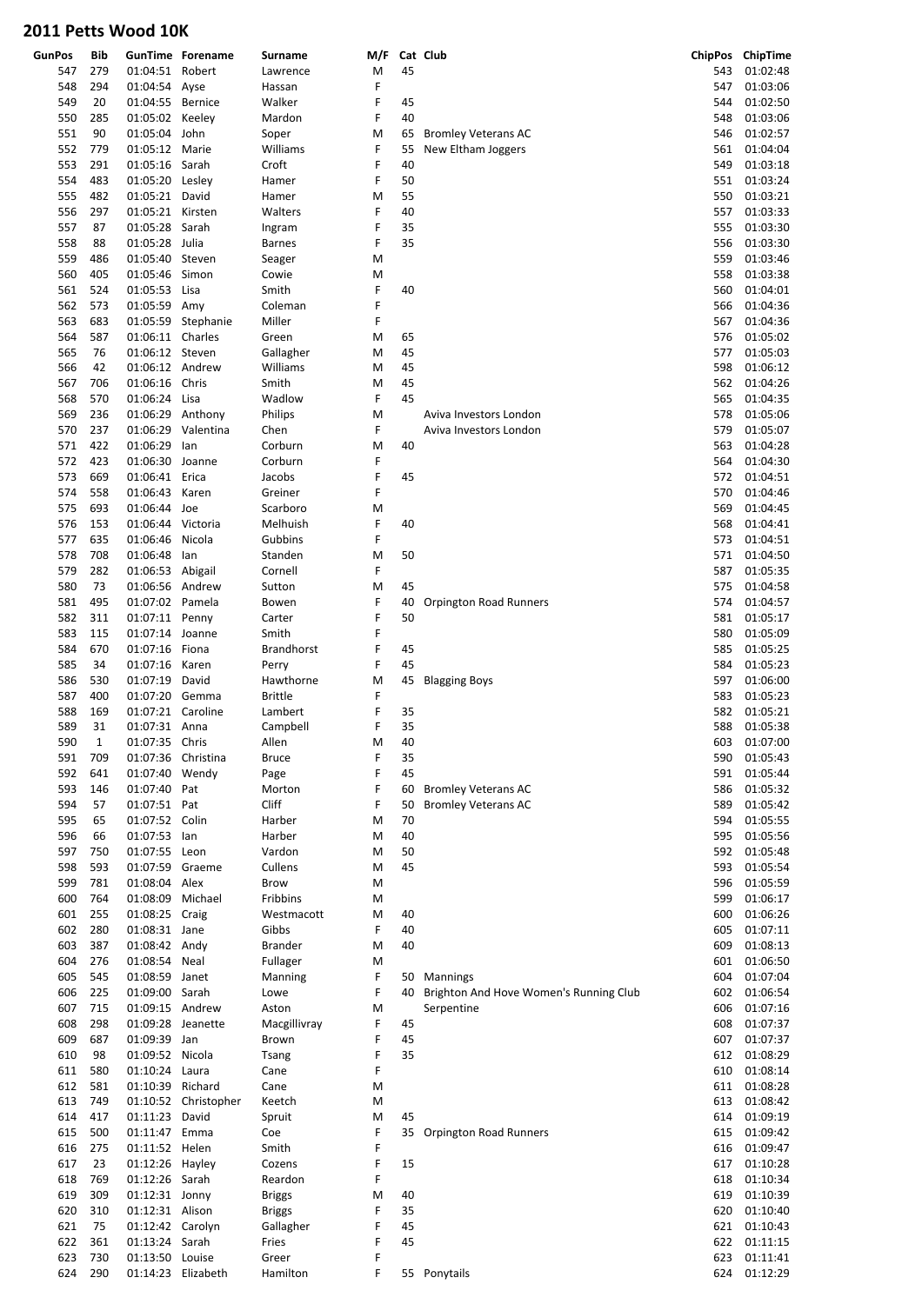| <b>GunPos</b> | Bib         |                                   | <b>GunTime Forename</b> | Surname                    | M/F    |          | Cat Club                                         |            | ChipPos ChipTime     |
|---------------|-------------|-----------------------------------|-------------------------|----------------------------|--------|----------|--------------------------------------------------|------------|----------------------|
| 547           | 279         | 01:04:51 Robert                   |                         | Lawrence                   | M      | 45       |                                                  | 543        | 01:02:48             |
| 548           | 294         | 01:04:54 Ayse                     |                         | Hassan                     | F      |          |                                                  | 547        | 01:03:06             |
| 549           | 20          | 01:04:55 Bernice                  |                         | Walker                     | F<br>F | 45       |                                                  | 544        | 01:02:50             |
| 550<br>551    | 285<br>90   | 01:05:02 Keeley<br>01:05:04 John  |                         | Mardon                     | M      | 40<br>65 |                                                  | 548<br>546 | 01:03:06<br>01:02:57 |
| 552           | 779         | 01:05:12 Marie                    |                         | Soper<br>Williams          | F      | 55       | <b>Bromley Veterans AC</b><br>New Eltham Joggers | 561        | 01:04:04             |
| 553           | 291         | 01:05:16                          | Sarah                   | Croft                      | F      | 40       |                                                  | 549        | 01:03:18             |
| 554           | 483         | 01:05:20 Lesley                   |                         | Hamer                      | F      | 50       |                                                  | 551        | 01:03:24             |
| 555           | 482         | 01:05:21 David                    |                         | Hamer                      | M      | 55       |                                                  | 550        | 01:03:21             |
| 556           | 297         | 01:05:21 Kirsten                  |                         | Walters                    | F      | 40       |                                                  | 557        | 01:03:33             |
| 557           | 87          | 01:05:28                          | Sarah                   | Ingram                     | F      | 35       |                                                  | 555        | 01:03:30             |
| 558           | 88          | 01:05:28 Julia                    |                         | <b>Barnes</b>              | F      | 35       |                                                  | 556        | 01:03:30             |
| 559           | 486         | 01:05:40                          | Steven                  | Seager                     | M      |          |                                                  | 559        | 01:03:46             |
| 560           | 405         | 01:05:46                          | Simon                   | Cowie                      | M      |          |                                                  | 558        | 01:03:38             |
| 561           | 524         | 01:05:53                          | Lisa                    | Smith                      | F      | 40       |                                                  | 560        | 01:04:01             |
| 562           | 573         | 01:05:59 Amy                      |                         | Coleman                    | F      |          |                                                  | 566        | 01:04:36             |
| 563           | 683         |                                   | 01:05:59 Stephanie      | Miller                     | F      |          |                                                  | 567        | 01:04:36             |
| 564           | 587         | 01:06:11 Charles                  |                         | Green                      | M      | 65       |                                                  | 576        | 01:05:02             |
| 565           | 76          | 01:06:12 Steven                   |                         | Gallagher                  | M      | 45       |                                                  | 577        | 01:05:03             |
| 566           | 42          | 01:06:12 Andrew                   |                         | Williams                   | M      | 45       |                                                  | 598        | 01:06:12             |
| 567           | 706         | 01:06:16                          | Chris                   | Smith                      | M      | 45       |                                                  | 562        | 01:04:26             |
| 568           | 570         | 01:06:24                          | Lisa                    | Wadlow                     | F      | 45       |                                                  | 565        | 01:04:35             |
| 569           | 236         | 01:06:29 Anthony                  |                         | Philips                    | M      |          | Aviva Investors London                           | 578        | 01:05:06             |
| 570           | 237         |                                   | 01:06:29 Valentina      | Chen                       | F      |          | Aviva Investors London                           | 579        | 01:05:07             |
| 571           | 422         | 01:06:29                          | lan                     | Corburn                    | M      | 40       |                                                  | 563        | 01:04:28             |
| 572           | 423         | 01:06:30 Joanne                   |                         | Corburn                    | F      |          |                                                  | 564        | 01:04:30             |
| 573           | 669         | 01:06:41 Erica                    |                         | Jacobs                     | F      | 45       |                                                  | 572        | 01:04:51             |
| 574           | 558         | 01:06:43                          | Karen                   | Greiner                    | F      |          |                                                  | 570        | 01:04:46             |
| 575           | 693         | 01:06:44 Joe                      |                         | Scarboro                   | M      |          |                                                  | 569        | 01:04:45             |
| 576           | 153         | 01:06:44 Victoria                 |                         | Melhuish                   | F      | 40       |                                                  | 568        | 01:04:41             |
| 577           | 635         | 01:06:46                          | Nicola                  | Gubbins                    | F      |          |                                                  | 573        | 01:04:51             |
| 578           | 708         | 01:06:48                          | lan                     | Standen                    | M      | 50       |                                                  | 571        | 01:04:50             |
| 579           | 282         | 01:06:53 Abigail                  |                         | Cornell                    | F      |          |                                                  | 587        | 01:05:35             |
| 580           | 73          | 01:06:56 Andrew                   |                         | Sutton                     | M      | 45       |                                                  | 575        | 01:04:58             |
| 581           | 495         | 01:07:02 Pamela                   |                         | Bowen                      | F      | 40       | Orpington Road Runners                           | 574        | 01:04:57             |
| 582           | 311         | 01:07:11 Penny                    |                         | Carter                     | F      | 50       |                                                  | 581        | 01:05:17             |
| 583           | 115         | 01:07:14 Joanne                   |                         | Smith                      | F      |          |                                                  | 580        | 01:05:09             |
| 584           | 670         | 01:07:16 Fiona                    |                         | <b>Brandhorst</b>          | F      | 45       |                                                  | 585        | 01:05:25             |
| 585           | 34          | 01:07:16                          | Karen                   | Perry                      | F      | 45       |                                                  | 584        | 01:05:23             |
| 586           | 530         | 01:07:19                          | David                   | Hawthorne                  | M      | 45       | <b>Blagging Boys</b>                             | 597        | 01:06:00             |
| 587           | 400         | 01:07:20                          | Gemma                   | <b>Brittle</b>             | F      |          |                                                  | 583        | 01:05:23             |
| 588           | 169         | 01:07:21 Caroline                 |                         | Lambert                    | F      | 35       |                                                  | 582        | 01:05:21             |
| 589           | 31          | 01:07:31 Anna                     |                         | Campbell                   | F      | 35       |                                                  | 588        | 01:05:38             |
| 590           | $\mathbf 1$ | 01:07:35 Chris                    |                         | Allen                      | M      | 40       |                                                  | 603        | 01:07:00             |
| 591           | 709         | 01:07:36 Christina                |                         | <b>Bruce</b>               | F      | 35       |                                                  | 590        | 01:05:43             |
| 592           | 641         | 01:07:40 Wendy                    |                         | Page                       | F      | 45       |                                                  | 591        | 01:05:44             |
| 593           | 146         | 01:07:40 Pat                      |                         | Morton                     | F      | 60       | <b>Bromley Veterans AC</b>                       | 586        | 01:05:32             |
| 594           | 57          | 01:07:51 Pat                      |                         | Cliff                      | F      | 50       | <b>Bromley Veterans AC</b>                       | 589        | 01:05:42             |
| 595           | 65          | 01:07:52 Colin                    |                         | Harber                     | M      | 70       |                                                  | 594        | 01:05:55             |
| 596           | 66          | 01:07:53                          | lan                     | Harber                     | M      | 40       |                                                  | 595        | 01:05:56             |
| 597           | 750         | 01:07:55 Leon                     |                         | Vardon                     | M      | 50       |                                                  | 592        | 01:05:48             |
| 598           | 593         | 01:07:59 Graeme                   |                         | Cullens                    | M      | 45       |                                                  | 593        | 01:05:54             |
| 599           | 781         | 01:08:04 Alex                     |                         | Brow                       | M      |          |                                                  | 596        | 01:05:59             |
| 600           | 764         | 01:08:09                          | Michael                 | Fribbins                   | M      |          |                                                  | 599        | 01:06:17             |
| 601           | 255         | 01:08:25 Craig                    |                         | Westmacott                 | M      | 40       |                                                  | 600        | 01:06:26             |
| 602           | 280         | 01:08:31 Jane                     |                         | Gibbs                      | F      | 40       |                                                  | 605        | 01:07:11             |
| 603           | 387         | 01:08:42 Andy                     |                         | <b>Brander</b>             | M      | 40       |                                                  | 609        | 01:08:13             |
| 604           | 276         | 01:08:54 Neal                     |                         | Fullager                   | M      |          |                                                  | 601        | 01:06:50             |
| 605           | 545         | 01:08:59 Janet                    |                         | Manning                    | F      | 50       | Mannings                                         | 604        | 01:07:04             |
| 606           | 225         | 01:09:00 Sarah                    |                         | Lowe                       | F      | 40       | Brighton And Hove Women's Running Club           | 602        | 01:06:54             |
| 607           | 715         | 01:09:15 Andrew                   |                         | Aston                      | M      |          | Serpentine                                       | 606        | 01:07:16             |
| 608           | 298         | 01:09:28                          | Jeanette                | Macgillivray               | F      | 45       |                                                  | 608        | 01:07:37             |
| 609           | 687         | 01:09:39 Jan                      |                         | Brown                      | F      | 45       |                                                  | 607        | 01:07:37             |
| 610           | 98          | 01:09:52 Nicola                   |                         | Tsang                      | F      | 35       |                                                  | 612        | 01:08:29             |
| 611           | 580         | 01:10:24 Laura                    |                         | Cane                       | F      |          |                                                  | 610        | 01:08:14             |
| 612           | 581         | 01:10:39 Richard                  |                         | Cane                       | M      |          |                                                  | 611        | 01:08:28             |
| 613           | 749         |                                   | 01:10:52 Christopher    | Keetch                     | M      |          |                                                  | 613        | 01:08:42             |
| 614           | 417         | 01:11:23 David                    |                         | Spruit                     | M<br>F | 45       |                                                  | 614        | 01:09:19             |
| 615           | 500         | 01:11:47 Emma                     |                         | Coe                        | F      |          | 35 Orpington Road Runners                        | 615        | 01:09:42<br>01:09:47 |
| 616           | 275         | 01:11:52 Helen                    |                         | Smith                      | F      | 15       |                                                  | 616        |                      |
| 617<br>618    | 23<br>769   | 01:12:26 Hayley<br>01:12:26 Sarah |                         | Cozens<br>Reardon          | F      |          |                                                  | 617<br>618 | 01:10:28<br>01:10:34 |
| 619           | 309         | 01:12:31 Jonny                    |                         |                            | M      | 40       |                                                  | 619        | 01:10:39             |
| 620           | 310         | 01:12:31 Alison                   |                         | <b>Briggs</b>              | F      | 35       |                                                  | 620        | 01:10:40             |
| 621           | 75          | 01:12:42 Carolyn                  |                         | <b>Briggs</b><br>Gallagher | F      | 45       |                                                  | 621        | 01:10:43             |
| 622           | 361         | 01:13:24 Sarah                    |                         | Fries                      | F      | 45       |                                                  | 622        | 01:11:15             |
| 623           | 730         | 01:13:50 Louise                   |                         | Greer                      | F      |          |                                                  | 623        | 01:11:41             |
| 624           | 290         | 01:14:23 Elizabeth                |                         | Hamilton                   | F      |          | 55 Ponytails                                     | 624        | 01:12:29             |
|               |             |                                   |                         |                            |        |          |                                                  |            |                      |